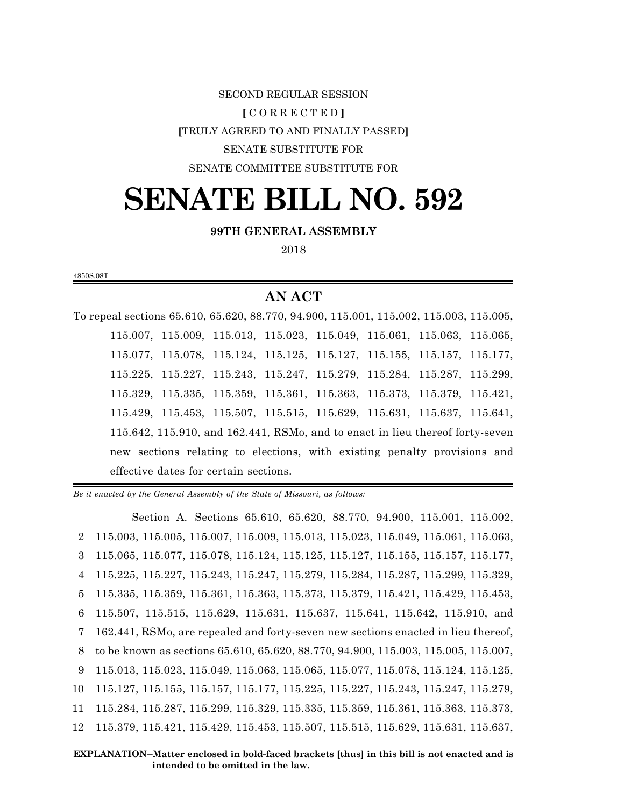# SECOND REGULAR SESSION **[** C O R R E C T E D **] [**TRULY AGREED TO AND FINALLY PASSED**]** SENATE SUBSTITUTE FOR SENATE COMMITTEE SUBSTITUTE FOR

# **SENATE BILL NO. 592**

#### **99TH GENERAL ASSEMBLY**

2018

4850S.08T

### **AN ACT**

To repeal sections 65.610, 65.620, 88.770, 94.900, 115.001, 115.002, 115.003, 115.005, 115.007, 115.009, 115.013, 115.023, 115.049, 115.061, 115.063, 115.065, 115.077, 115.078, 115.124, 115.125, 115.127, 115.155, 115.157, 115.177, 115.225, 115.227, 115.243, 115.247, 115.279, 115.284, 115.287, 115.299, 115.329, 115.335, 115.359, 115.361, 115.363, 115.373, 115.379, 115.421, 115.429, 115.453, 115.507, 115.515, 115.629, 115.631, 115.637, 115.641, 115.642, 115.910, and 162.441, RSMo, and to enact in lieu thereof forty-seven new sections relating to elections, with existing penalty provisions and effective dates for certain sections.

*Be it enacted by the General Assembly of the State of Missouri, as follows:*

Section A. Sections 65.610, 65.620, 88.770, 94.900, 115.001, 115.002, 115.003, 115.005, 115.007, 115.009, 115.013, 115.023, 115.049, 115.061, 115.063, 115.065, 115.077, 115.078, 115.124, 115.125, 115.127, 115.155, 115.157, 115.177, 115.225, 115.227, 115.243, 115.247, 115.279, 115.284, 115.287, 115.299, 115.329, 115.335, 115.359, 115.361, 115.363, 115.373, 115.379, 115.421, 115.429, 115.453, 115.507, 115.515, 115.629, 115.631, 115.637, 115.641, 115.642, 115.910, and 162.441, RSMo, are repealed and forty-seven new sections enacted in lieu thereof, to be known as sections 65.610, 65.620, 88.770, 94.900, 115.003, 115.005, 115.007, 115.013, 115.023, 115.049, 115.063, 115.065, 115.077, 115.078, 115.124, 115.125, 115.127, 115.155, 115.157, 115.177, 115.225, 115.227, 115.243, 115.247, 115.279, 115.284, 115.287, 115.299, 115.329, 115.335, 115.359, 115.361, 115.363, 115.373, 115.379, 115.421, 115.429, 115.453, 115.507, 115.515, 115.629, 115.631, 115.637,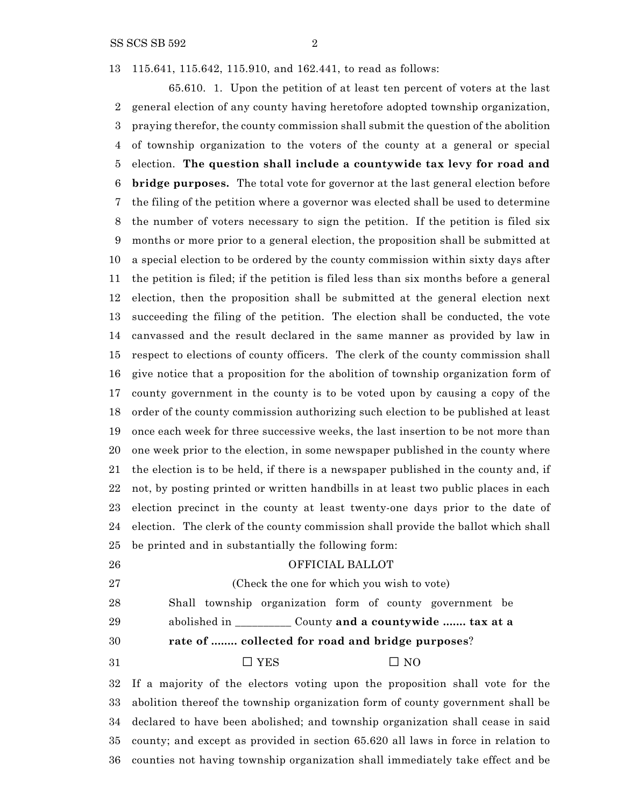SS SCS SB 592 2

115.641, 115.642, 115.910, and 162.441, to read as follows:

65.610. 1. Upon the petition of at least ten percent of voters at the last general election of any county having heretofore adopted township organization, praying therefor, the county commission shall submit the question of the abolition of township organization to the voters of the county at a general or special election. **The question shall include a countywide tax levy for road and bridge purposes.** The total vote for governor at the last general election before the filing of the petition where a governor was elected shall be used to determine the number of voters necessary to sign the petition. If the petition is filed six months or more prior to a general election, the proposition shall be submitted at a special election to be ordered by the county commission within sixty days after the petition is filed; if the petition is filed less than six months before a general election, then the proposition shall be submitted at the general election next succeeding the filing of the petition. The election shall be conducted, the vote canvassed and the result declared in the same manner as provided by law in respect to elections of county officers. The clerk of the county commission shall give notice that a proposition for the abolition of township organization form of county government in the county is to be voted upon by causing a copy of the order of the county commission authorizing such election to be published at least once each week for three successive weeks, the last insertion to be not more than one week prior to the election, in some newspaper published in the county where the election is to be held, if there is a newspaper published in the county and, if not, by posting printed or written handbills in at least two public places in each election precinct in the county at least twenty-one days prior to the date of election. The clerk of the county commission shall provide the ballot which shall be printed and in substantially the following form: OFFICIAL BALLOT (Check the one for which you wish to vote)

Shall township organization form of county government be

abolished in \_\_\_\_\_\_\_\_\_\_ County **and a countywide ....... tax at a**

**rate of ........ collected for road and bridge purposes**?

31  $\Box$  YES  $\Box$  NO

 If a majority of the electors voting upon the proposition shall vote for the abolition thereof the township organization form of county government shall be declared to have been abolished; and township organization shall cease in said county; and except as provided in section 65.620 all laws in force in relation to counties not having township organization shall immediately take effect and be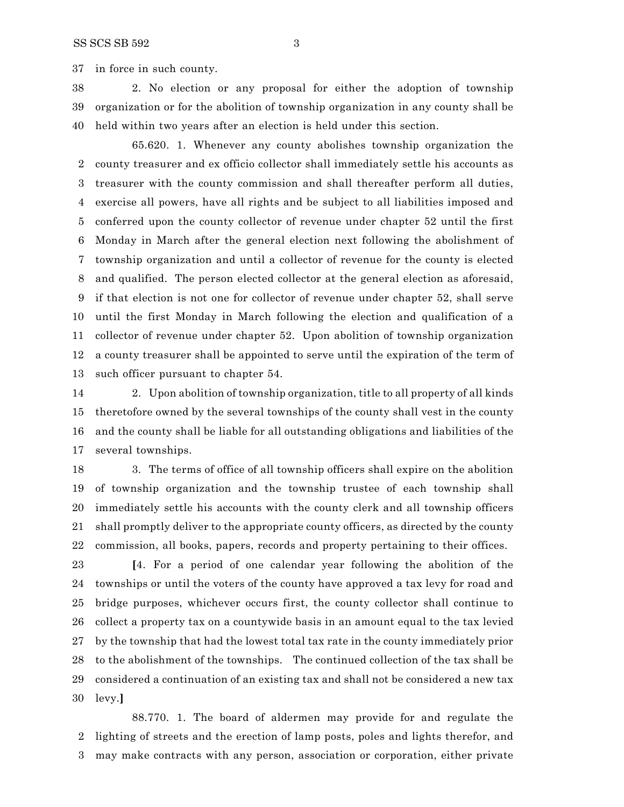in force in such county.

 2. No election or any proposal for either the adoption of township organization or for the abolition of township organization in any county shall be held within two years after an election is held under this section.

65.620. 1. Whenever any county abolishes township organization the county treasurer and ex officio collector shall immediately settle his accounts as treasurer with the county commission and shall thereafter perform all duties, exercise all powers, have all rights and be subject to all liabilities imposed and conferred upon the county collector of revenue under chapter 52 until the first Monday in March after the general election next following the abolishment of township organization and until a collector of revenue for the county is elected and qualified. The person elected collector at the general election as aforesaid, if that election is not one for collector of revenue under chapter 52, shall serve until the first Monday in March following the election and qualification of a collector of revenue under chapter 52. Upon abolition of township organization a county treasurer shall be appointed to serve until the expiration of the term of such officer pursuant to chapter 54.

 2. Upon abolition of township organization, title to all property of all kinds theretofore owned by the several townships of the county shall vest in the county and the county shall be liable for all outstanding obligations and liabilities of the several townships.

 3. The terms of office of all township officers shall expire on the abolition of township organization and the township trustee of each township shall immediately settle his accounts with the county clerk and all township officers shall promptly deliver to the appropriate county officers, as directed by the county commission, all books, papers, records and property pertaining to their offices.

 **[**4. For a period of one calendar year following the abolition of the townships or until the voters of the county have approved a tax levy for road and bridge purposes, whichever occurs first, the county collector shall continue to collect a property tax on a countywide basis in an amount equal to the tax levied by the township that had the lowest total tax rate in the county immediately prior to the abolishment of the townships. The continued collection of the tax shall be considered a continuation of an existing tax and shall not be considered a new tax levy.**]**

88.770. 1. The board of aldermen may provide for and regulate the lighting of streets and the erection of lamp posts, poles and lights therefor, and may make contracts with any person, association or corporation, either private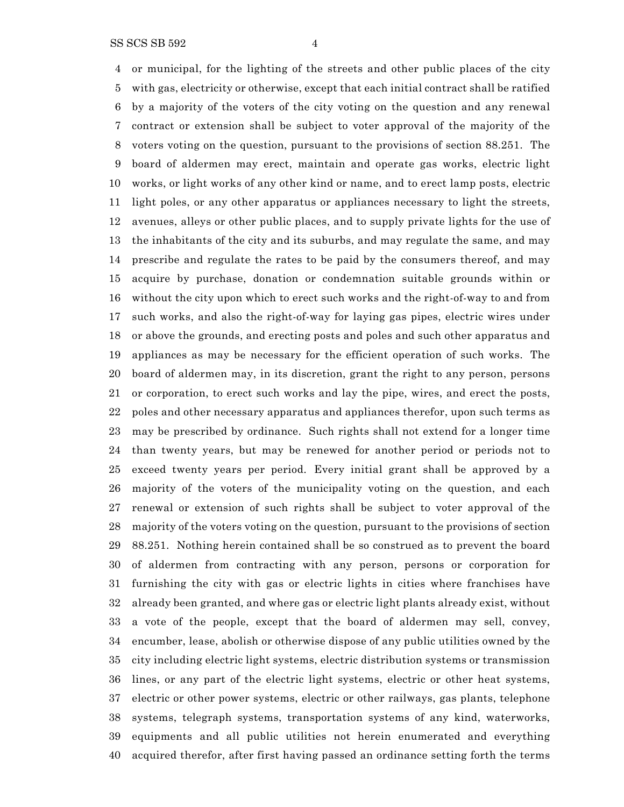or municipal, for the lighting of the streets and other public places of the city with gas, electricity or otherwise, except that each initial contract shall be ratified by a majority of the voters of the city voting on the question and any renewal contract or extension shall be subject to voter approval of the majority of the voters voting on the question, pursuant to the provisions of section 88.251. The board of aldermen may erect, maintain and operate gas works, electric light works, or light works of any other kind or name, and to erect lamp posts, electric light poles, or any other apparatus or appliances necessary to light the streets, avenues, alleys or other public places, and to supply private lights for the use of the inhabitants of the city and its suburbs, and may regulate the same, and may prescribe and regulate the rates to be paid by the consumers thereof, and may acquire by purchase, donation or condemnation suitable grounds within or without the city upon which to erect such works and the right-of-way to and from such works, and also the right-of-way for laying gas pipes, electric wires under or above the grounds, and erecting posts and poles and such other apparatus and appliances as may be necessary for the efficient operation of such works. The board of aldermen may, in its discretion, grant the right to any person, persons or corporation, to erect such works and lay the pipe, wires, and erect the posts, poles and other necessary apparatus and appliances therefor, upon such terms as may be prescribed by ordinance. Such rights shall not extend for a longer time than twenty years, but may be renewed for another period or periods not to exceed twenty years per period. Every initial grant shall be approved by a majority of the voters of the municipality voting on the question, and each renewal or extension of such rights shall be subject to voter approval of the majority of the voters voting on the question, pursuant to the provisions of section 88.251. Nothing herein contained shall be so construed as to prevent the board of aldermen from contracting with any person, persons or corporation for furnishing the city with gas or electric lights in cities where franchises have already been granted, and where gas or electric light plants already exist, without a vote of the people, except that the board of aldermen may sell, convey, encumber, lease, abolish or otherwise dispose of any public utilities owned by the city including electric light systems, electric distribution systems or transmission lines, or any part of the electric light systems, electric or other heat systems, electric or other power systems, electric or other railways, gas plants, telephone systems, telegraph systems, transportation systems of any kind, waterworks, equipments and all public utilities not herein enumerated and everything acquired therefor, after first having passed an ordinance setting forth the terms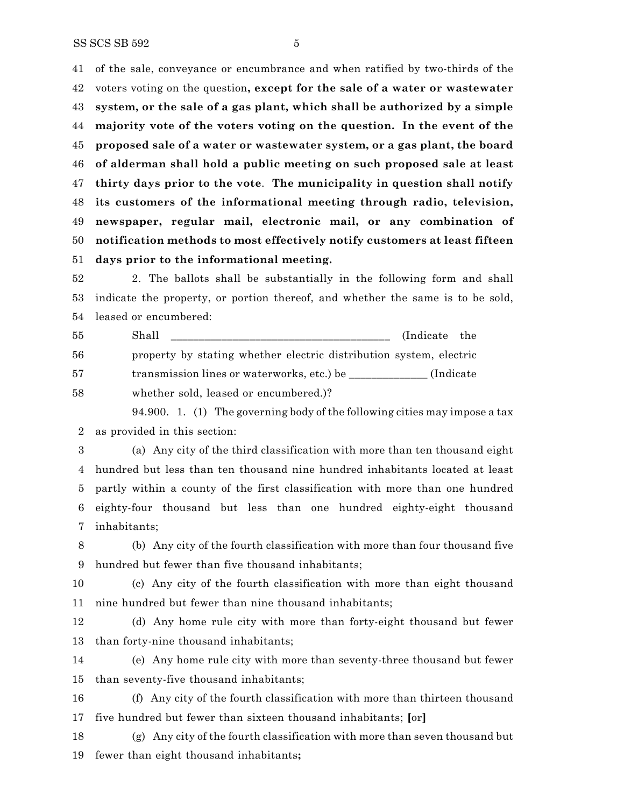of the sale, conveyance or encumbrance and when ratified by two-thirds of the voters voting on the question**, except for the sale of a water or wastewater system, or the sale of a gas plant, which shall be authorized by a simple majority vote of the voters voting on the question. In the event of the proposed sale of a water or wastewater system, or a gas plant, the board of alderman shall hold a public meeting on such proposed sale at least thirty days prior to the vote**. **The municipality in question shall notify its customers of the informational meeting through radio, television, newspaper, regular mail, electronic mail, or any combination of notification methods to most effectively notify customers at least fifteen days prior to the informational meeting.**

 2. The ballots shall be substantially in the following form and shall indicate the property, or portion thereof, and whether the same is to be sold, leased or encumbered:

 Shall \_\_\_\_\_\_\_\_\_\_\_\_\_\_\_\_\_\_\_\_\_\_\_\_\_\_\_\_\_\_\_\_\_\_\_\_\_\_\_ (Indicate the property by stating whether electric distribution system, electric 57 transmission lines or waterworks, etc.) be \_\_\_\_\_\_\_\_\_\_\_\_\_\_ (Indicate whether sold, leased or encumbered.)?

94.900. 1. (1) The governing body of the following cities may impose a tax as provided in this section:

 (a) Any city of the third classification with more than ten thousand eight hundred but less than ten thousand nine hundred inhabitants located at least partly within a county of the first classification with more than one hundred eighty-four thousand but less than one hundred eighty-eight thousand inhabitants;

 (b) Any city of the fourth classification with more than four thousand five hundred but fewer than five thousand inhabitants;

 (c) Any city of the fourth classification with more than eight thousand nine hundred but fewer than nine thousand inhabitants;

 (d) Any home rule city with more than forty-eight thousand but fewer than forty-nine thousand inhabitants;

 (e) Any home rule city with more than seventy-three thousand but fewer than seventy-five thousand inhabitants;

 (f) Any city of the fourth classification with more than thirteen thousand five hundred but fewer than sixteen thousand inhabitants; **[**or**]**

 (g) Any city of the fourth classification with more than seven thousand but fewer than eight thousand inhabitants**;**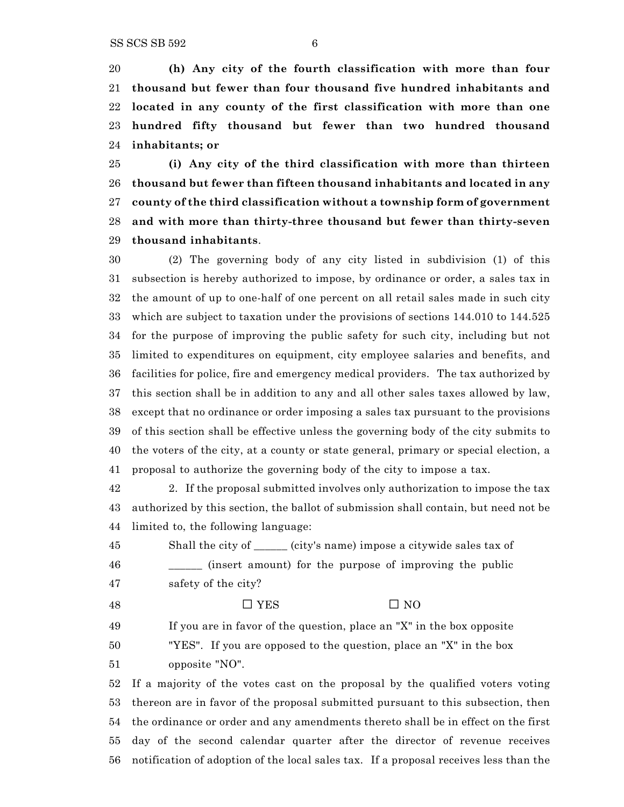**(h) Any city of the fourth classification with more than four thousand but fewer than four thousand five hundred inhabitants and located in any county of the first classification with more than one hundred fifty thousand but fewer than two hundred thousand inhabitants; or**

 **(i) Any city of the third classification with more than thirteen thousand but fewer than fifteen thousand inhabitants and located in any county of the third classification without a township form of government and with more than thirty-three thousand but fewer than thirty-seven thousand inhabitants**.

 (2) The governing body of any city listed in subdivision (1) of this subsection is hereby authorized to impose, by ordinance or order, a sales tax in the amount of up to one-half of one percent on all retail sales made in such city which are subject to taxation under the provisions of sections 144.010 to 144.525 for the purpose of improving the public safety for such city, including but not limited to expenditures on equipment, city employee salaries and benefits, and facilities for police, fire and emergency medical providers. The tax authorized by this section shall be in addition to any and all other sales taxes allowed by law, except that no ordinance or order imposing a sales tax pursuant to the provisions of this section shall be effective unless the governing body of the city submits to the voters of the city, at a county or state general, primary or special election, a proposal to authorize the governing body of the city to impose a tax.

 2. If the proposal submitted involves only authorization to impose the tax authorized by this section, the ballot of submission shall contain, but need not be limited to, the following language:

 Shall the city of \_\_\_\_\_\_ (city's name) impose a citywide sales tax of \_\_\_\_\_\_ (insert amount) for the purpose of improving the public safety of the city?

48  $\Box$  YES  $\Box$  NO

If you are in favor of the question, place an "X" in the box opposite

"YES". If you are opposed to the question, place an "X" in the box

opposite "NO".

 If a majority of the votes cast on the proposal by the qualified voters voting thereon are in favor of the proposal submitted pursuant to this subsection, then the ordinance or order and any amendments thereto shall be in effect on the first day of the second calendar quarter after the director of revenue receives notification of adoption of the local sales tax. If a proposal receives less than the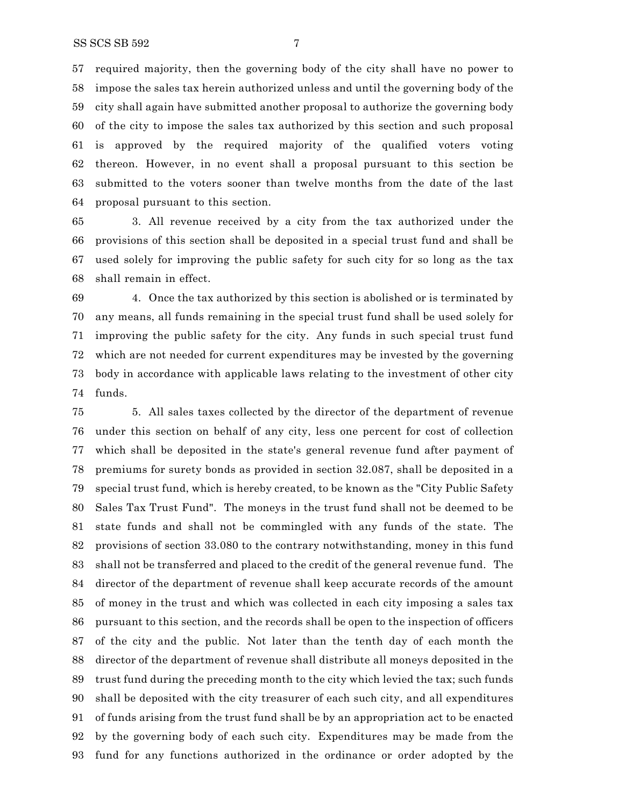required majority, then the governing body of the city shall have no power to impose the sales tax herein authorized unless and until the governing body of the city shall again have submitted another proposal to authorize the governing body of the city to impose the sales tax authorized by this section and such proposal is approved by the required majority of the qualified voters voting thereon. However, in no event shall a proposal pursuant to this section be submitted to the voters sooner than twelve months from the date of the last proposal pursuant to this section.

 3. All revenue received by a city from the tax authorized under the provisions of this section shall be deposited in a special trust fund and shall be used solely for improving the public safety for such city for so long as the tax shall remain in effect.

 4. Once the tax authorized by this section is abolished or is terminated by any means, all funds remaining in the special trust fund shall be used solely for improving the public safety for the city. Any funds in such special trust fund which are not needed for current expenditures may be invested by the governing body in accordance with applicable laws relating to the investment of other city funds.

 5. All sales taxes collected by the director of the department of revenue under this section on behalf of any city, less one percent for cost of collection which shall be deposited in the state's general revenue fund after payment of premiums for surety bonds as provided in section 32.087, shall be deposited in a special trust fund, which is hereby created, to be known as the "City Public Safety Sales Tax Trust Fund". The moneys in the trust fund shall not be deemed to be state funds and shall not be commingled with any funds of the state. The provisions of section 33.080 to the contrary notwithstanding, money in this fund shall not be transferred and placed to the credit of the general revenue fund. The director of the department of revenue shall keep accurate records of the amount of money in the trust and which was collected in each city imposing a sales tax pursuant to this section, and the records shall be open to the inspection of officers of the city and the public. Not later than the tenth day of each month the director of the department of revenue shall distribute all moneys deposited in the trust fund during the preceding month to the city which levied the tax; such funds shall be deposited with the city treasurer of each such city, and all expenditures of funds arising from the trust fund shall be by an appropriation act to be enacted by the governing body of each such city. Expenditures may be made from the fund for any functions authorized in the ordinance or order adopted by the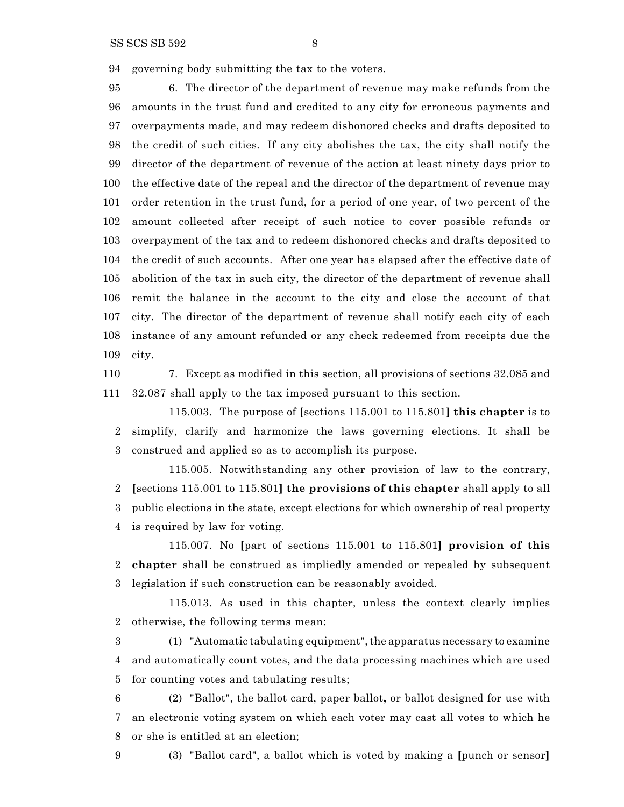SS SCS SB 592 8

governing body submitting the tax to the voters.

 6. The director of the department of revenue may make refunds from the amounts in the trust fund and credited to any city for erroneous payments and overpayments made, and may redeem dishonored checks and drafts deposited to the credit of such cities. If any city abolishes the tax, the city shall notify the director of the department of revenue of the action at least ninety days prior to the effective date of the repeal and the director of the department of revenue may order retention in the trust fund, for a period of one year, of two percent of the amount collected after receipt of such notice to cover possible refunds or overpayment of the tax and to redeem dishonored checks and drafts deposited to the credit of such accounts. After one year has elapsed after the effective date of abolition of the tax in such city, the director of the department of revenue shall remit the balance in the account to the city and close the account of that city. The director of the department of revenue shall notify each city of each instance of any amount refunded or any check redeemed from receipts due the city.

 7. Except as modified in this section, all provisions of sections 32.085 and 32.087 shall apply to the tax imposed pursuant to this section.

115.003. The purpose of **[**sections 115.001 to 115.801**] this chapter** is to simplify, clarify and harmonize the laws governing elections. It shall be construed and applied so as to accomplish its purpose.

115.005. Notwithstanding any other provision of law to the contrary, **[**sections 115.001 to 115.801**] the provisions of this chapter** shall apply to all public elections in the state, except elections for which ownership of real property is required by law for voting.

115.007. No **[**part of sections 115.001 to 115.801**] provision of this chapter** shall be construed as impliedly amended or repealed by subsequent legislation if such construction can be reasonably avoided.

115.013. As used in this chapter, unless the context clearly implies otherwise, the following terms mean:

 (1) "Automatic tabulating equipment", the apparatus necessary to examine and automatically count votes, and the data processing machines which are used for counting votes and tabulating results;

 (2) "Ballot", the ballot card, paper ballot**,** or ballot designed for use with an electronic voting system on which each voter may cast all votes to which he or she is entitled at an election;

(3) "Ballot card", a ballot which is voted by making a **[**punch or sensor**]**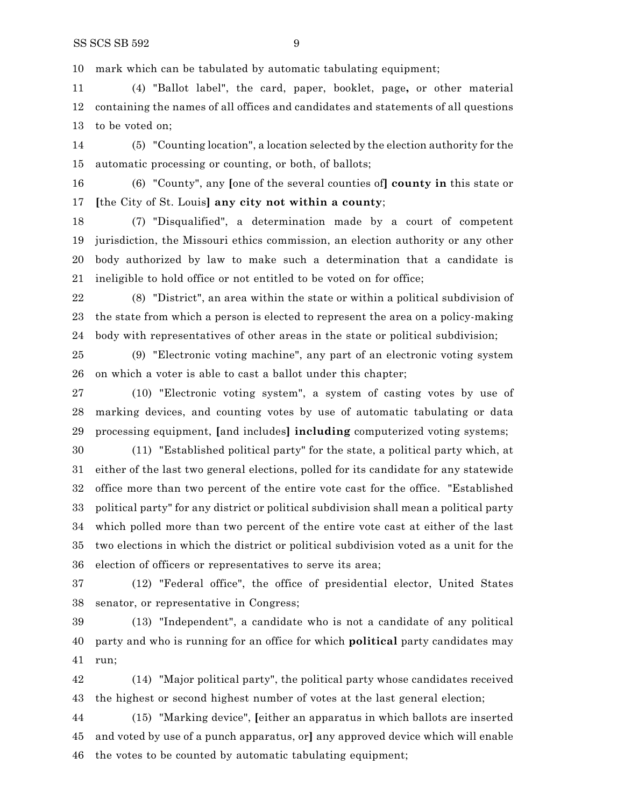mark which can be tabulated by automatic tabulating equipment;

 (4) "Ballot label", the card, paper, booklet, page**,** or other material containing the names of all offices and candidates and statements of all questions to be voted on;

 (5) "Counting location", a location selected by the election authority for the automatic processing or counting, or both, of ballots;

 (6) "County", any **[**one of the several counties of**] county in** this state or **[**the City of St. Louis**] any city not within a county**;

 (7) "Disqualified", a determination made by a court of competent jurisdiction, the Missouri ethics commission, an election authority or any other body authorized by law to make such a determination that a candidate is ineligible to hold office or not entitled to be voted on for office;

 (8) "District", an area within the state or within a political subdivision of the state from which a person is elected to represent the area on a policy-making body with representatives of other areas in the state or political subdivision;

 (9) "Electronic voting machine", any part of an electronic voting system on which a voter is able to cast a ballot under this chapter;

 (10) "Electronic voting system", a system of casting votes by use of marking devices, and counting votes by use of automatic tabulating or data processing equipment, **[**and includes**] including** computerized voting systems;

 (11) "Established political party" for the state, a political party which, at either of the last two general elections, polled for its candidate for any statewide office more than two percent of the entire vote cast for the office. "Established political party" for any district or political subdivision shall mean a political party which polled more than two percent of the entire vote cast at either of the last two elections in which the district or political subdivision voted as a unit for the election of officers or representatives to serve its area;

 (12) "Federal office", the office of presidential elector, United States senator, or representative in Congress;

 (13) "Independent", a candidate who is not a candidate of any political party and who is running for an office for which **political** party candidates may run;

 (14) "Major political party", the political party whose candidates received the highest or second highest number of votes at the last general election;

 (15) "Marking device", **[**either an apparatus in which ballots are inserted and voted by use of a punch apparatus, or**]** any approved device which will enable the votes to be counted by automatic tabulating equipment;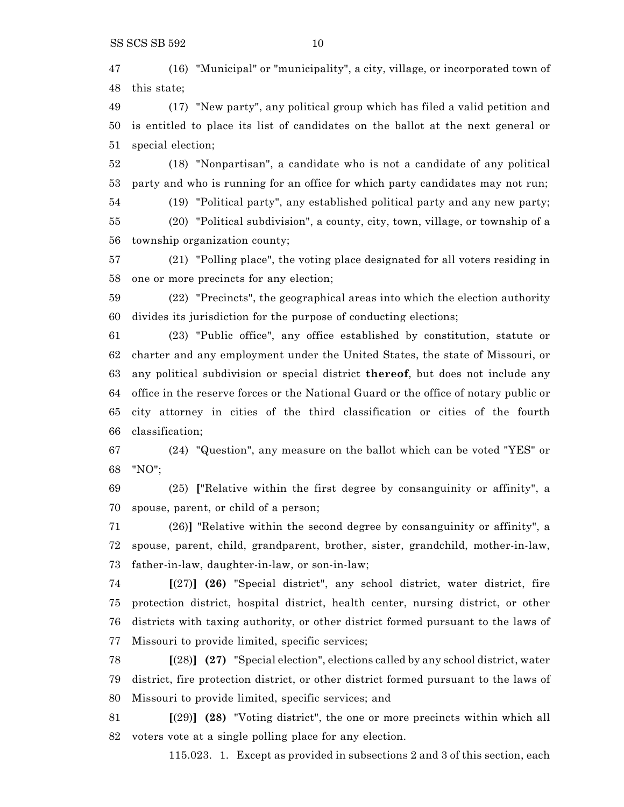(16) "Municipal" or "municipality", a city, village, or incorporated town of this state;

 (17) "New party", any political group which has filed a valid petition and is entitled to place its list of candidates on the ballot at the next general or special election;

 (18) "Nonpartisan", a candidate who is not a candidate of any political party and who is running for an office for which party candidates may not run;

(19) "Political party", any established political party and any new party;

 (20) "Political subdivision", a county, city, town, village, or township of a township organization county;

 (21) "Polling place", the voting place designated for all voters residing in one or more precincts for any election;

 (22) "Precincts", the geographical areas into which the election authority divides its jurisdiction for the purpose of conducting elections;

 (23) "Public office", any office established by constitution, statute or charter and any employment under the United States, the state of Missouri, or any political subdivision or special district **thereof**, but does not include any office in the reserve forces or the National Guard or the office of notary public or city attorney in cities of the third classification or cities of the fourth classification;

 (24) "Question", any measure on the ballot which can be voted "YES" or "NO";

 (25) **[**"Relative within the first degree by consanguinity or affinity", a spouse, parent, or child of a person;

 (26)**]** "Relative within the second degree by consanguinity or affinity", a spouse, parent, child, grandparent, brother, sister, grandchild, mother-in-law, father-in-law, daughter-in-law, or son-in-law;

 **[**(27)**] (26)** "Special district", any school district, water district, fire protection district, hospital district, health center, nursing district, or other districts with taxing authority, or other district formed pursuant to the laws of Missouri to provide limited, specific services;

 **[**(28)**] (27)** "Special election", elections called by any school district, water district, fire protection district, or other district formed pursuant to the laws of Missouri to provide limited, specific services; and

 **[**(29)**] (28)** "Voting district", the one or more precincts within which all voters vote at a single polling place for any election.

115.023. 1. Except as provided in subsections 2 and 3 of this section, each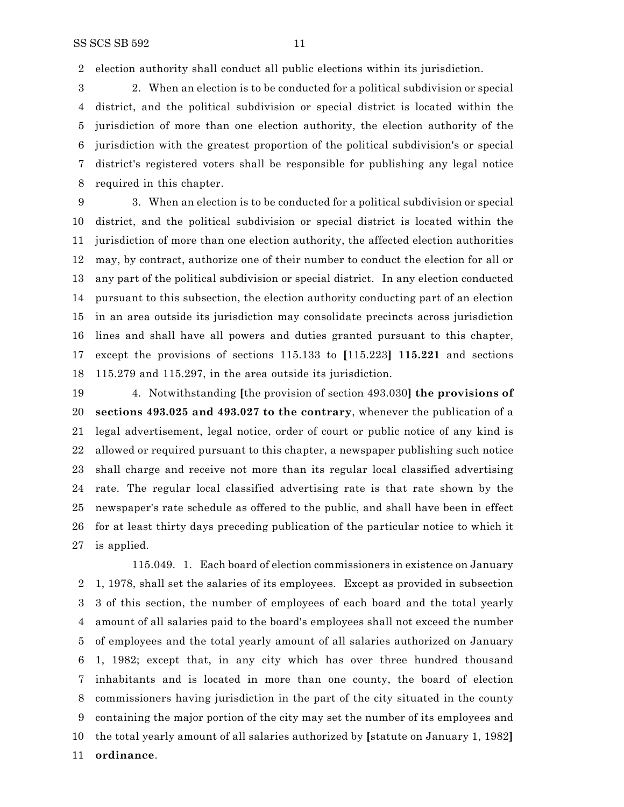election authority shall conduct all public elections within its jurisdiction.

 2. When an election is to be conducted for a political subdivision or special district, and the political subdivision or special district is located within the jurisdiction of more than one election authority, the election authority of the jurisdiction with the greatest proportion of the political subdivision's or special district's registered voters shall be responsible for publishing any legal notice required in this chapter.

 3. When an election is to be conducted for a political subdivision or special district, and the political subdivision or special district is located within the jurisdiction of more than one election authority, the affected election authorities may, by contract, authorize one of their number to conduct the election for all or any part of the political subdivision or special district. In any election conducted pursuant to this subsection, the election authority conducting part of an election in an area outside its jurisdiction may consolidate precincts across jurisdiction lines and shall have all powers and duties granted pursuant to this chapter, except the provisions of sections 115.133 to **[**115.223**] 115.221** and sections 115.279 and 115.297, in the area outside its jurisdiction.

 4. Notwithstanding **[**the provision of section 493.030**] the provisions of sections 493.025 and 493.027 to the contrary**, whenever the publication of a legal advertisement, legal notice, order of court or public notice of any kind is allowed or required pursuant to this chapter, a newspaper publishing such notice shall charge and receive not more than its regular local classified advertising rate. The regular local classified advertising rate is that rate shown by the newspaper's rate schedule as offered to the public, and shall have been in effect for at least thirty days preceding publication of the particular notice to which it is applied.

115.049. 1. Each board of election commissioners in existence on January 1, 1978, shall set the salaries of its employees. Except as provided in subsection 3 of this section, the number of employees of each board and the total yearly amount of all salaries paid to the board's employees shall not exceed the number of employees and the total yearly amount of all salaries authorized on January 1, 1982; except that, in any city which has over three hundred thousand inhabitants and is located in more than one county, the board of election commissioners having jurisdiction in the part of the city situated in the county containing the major portion of the city may set the number of its employees and the total yearly amount of all salaries authorized by **[**statute on January 1, 1982**] ordinance**.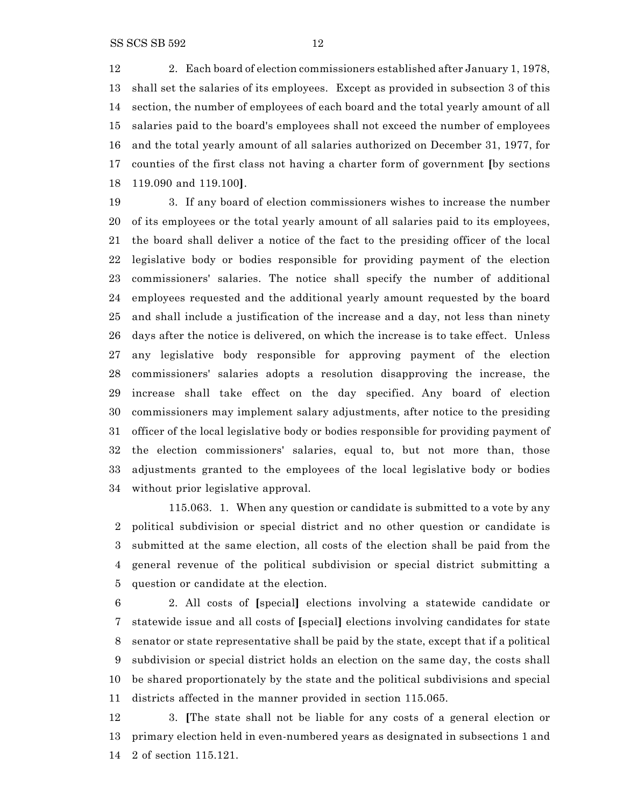2. Each board of election commissioners established after January 1, 1978, shall set the salaries of its employees. Except as provided in subsection 3 of this section, the number of employees of each board and the total yearly amount of all salaries paid to the board's employees shall not exceed the number of employees and the total yearly amount of all salaries authorized on December 31, 1977, for counties of the first class not having a charter form of government **[**by sections 119.090 and 119.100**]**.

 3. If any board of election commissioners wishes to increase the number of its employees or the total yearly amount of all salaries paid to its employees, the board shall deliver a notice of the fact to the presiding officer of the local legislative body or bodies responsible for providing payment of the election commissioners' salaries. The notice shall specify the number of additional employees requested and the additional yearly amount requested by the board and shall include a justification of the increase and a day, not less than ninety days after the notice is delivered, on which the increase is to take effect. Unless any legislative body responsible for approving payment of the election commissioners' salaries adopts a resolution disapproving the increase, the increase shall take effect on the day specified. Any board of election commissioners may implement salary adjustments, after notice to the presiding officer of the local legislative body or bodies responsible for providing payment of the election commissioners' salaries, equal to, but not more than, those adjustments granted to the employees of the local legislative body or bodies without prior legislative approval.

115.063. 1. When any question or candidate is submitted to a vote by any political subdivision or special district and no other question or candidate is submitted at the same election, all costs of the election shall be paid from the general revenue of the political subdivision or special district submitting a question or candidate at the election.

 2. All costs of **[**special**]** elections involving a statewide candidate or statewide issue and all costs of **[**special**]** elections involving candidates for state senator or state representative shall be paid by the state, except that if a political subdivision or special district holds an election on the same day, the costs shall be shared proportionately by the state and the political subdivisions and special districts affected in the manner provided in section 115.065.

 3. **[**The state shall not be liable for any costs of a general election or primary election held in even-numbered years as designated in subsections 1 and 2 of section 115.121.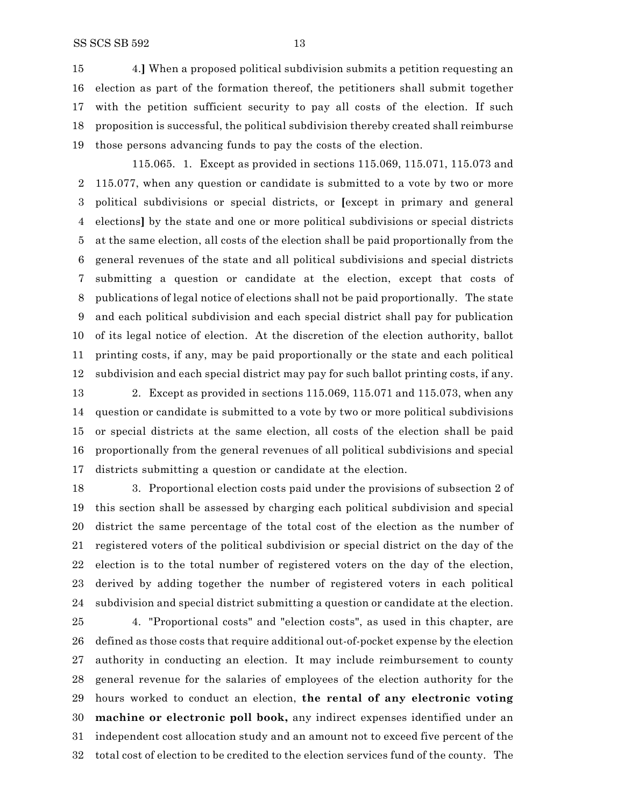4.**]** When a proposed political subdivision submits a petition requesting an election as part of the formation thereof, the petitioners shall submit together with the petition sufficient security to pay all costs of the election. If such proposition is successful, the political subdivision thereby created shall reimburse those persons advancing funds to pay the costs of the election.

115.065. 1. Except as provided in sections 115.069, 115.071, 115.073 and 115.077, when any question or candidate is submitted to a vote by two or more political subdivisions or special districts, or **[**except in primary and general elections**]** by the state and one or more political subdivisions or special districts at the same election, all costs of the election shall be paid proportionally from the general revenues of the state and all political subdivisions and special districts submitting a question or candidate at the election, except that costs of publications of legal notice of elections shall not be paid proportionally. The state and each political subdivision and each special district shall pay for publication of its legal notice of election. At the discretion of the election authority, ballot printing costs, if any, may be paid proportionally or the state and each political subdivision and each special district may pay for such ballot printing costs, if any.

 2. Except as provided in sections 115.069, 115.071 and 115.073, when any question or candidate is submitted to a vote by two or more political subdivisions or special districts at the same election, all costs of the election shall be paid proportionally from the general revenues of all political subdivisions and special districts submitting a question or candidate at the election.

 3. Proportional election costs paid under the provisions of subsection 2 of this section shall be assessed by charging each political subdivision and special district the same percentage of the total cost of the election as the number of registered voters of the political subdivision or special district on the day of the election is to the total number of registered voters on the day of the election, derived by adding together the number of registered voters in each political subdivision and special district submitting a question or candidate at the election.

 4. "Proportional costs" and "election costs", as used in this chapter, are defined as those costs that require additional out-of-pocket expense by the election authority in conducting an election. It may include reimbursement to county general revenue for the salaries of employees of the election authority for the hours worked to conduct an election, **the rental of any electronic voting machine or electronic poll book,** any indirect expenses identified under an independent cost allocation study and an amount not to exceed five percent of the total cost of election to be credited to the election services fund of the county. The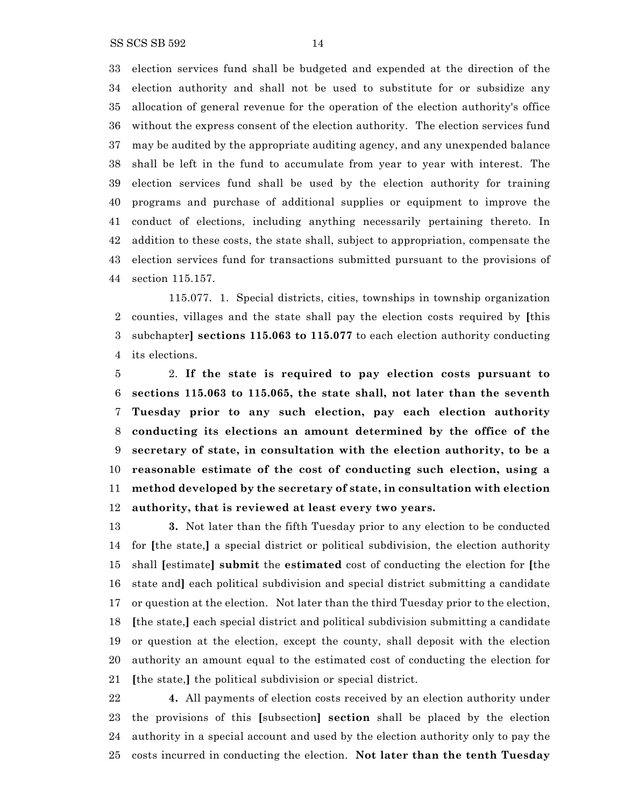SS SCS SB 592 14

 election services fund shall be budgeted and expended at the direction of the election authority and shall not be used to substitute for or subsidize any allocation of general revenue for the operation of the election authority's office without the express consent of the election authority. The election services fund may be audited by the appropriate auditing agency, and any unexpended balance shall be left in the fund to accumulate from year to year with interest. The election services fund shall be used by the election authority for training programs and purchase of additional supplies or equipment to improve the conduct of elections, including anything necessarily pertaining thereto. In addition to these costs, the state shall, subject to appropriation, compensate the election services fund for transactions submitted pursuant to the provisions of section 115.157.

115.077. 1. Special districts, cities, townships in township organization counties, villages and the state shall pay the election costs required by **[**this subchapter**] sections 115.063 to 115.077** to each election authority conducting its elections.

 2. **If the state is required to pay election costs pursuant to sections 115.063 to 115.065, the state shall, not later than the seventh Tuesday prior to any such election, pay each election authority conducting its elections an amount determined by the office of the secretary of state, in consultation with the election authority, to be a reasonable estimate of the cost of conducting such election, using a method developed by the secretary of state, in consultation with election authority, that is reviewed at least every two years.**

 **3.** Not later than the fifth Tuesday prior to any election to be conducted for **[**the state,**]** a special district or political subdivision, the election authority shall **[**estimate**] submit** the **estimated** cost of conducting the election for **[**the state and**]** each political subdivision and special district submitting a candidate or question at the election. Not later than the third Tuesday prior to the election, **[**the state,**]** each special district and political subdivision submitting a candidate or question at the election, except the county, shall deposit with the election authority an amount equal to the estimated cost of conducting the election for **[**the state,**]** the political subdivision or special district.

 **4.** All payments of election costs received by an election authority under the provisions of this **[**subsection**] section** shall be placed by the election authority in a special account and used by the election authority only to pay the costs incurred in conducting the election. **Not later than the tenth Tuesday**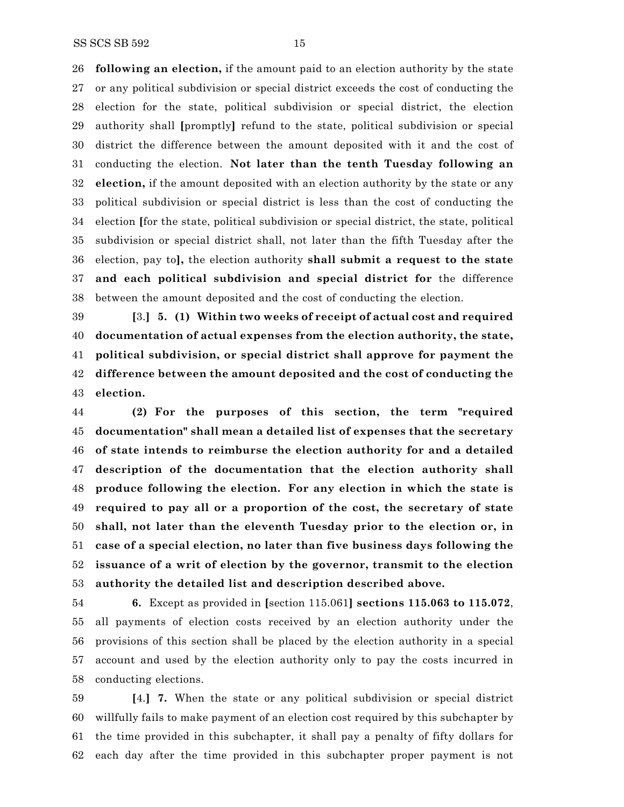**following an election,** if the amount paid to an election authority by the state or any political subdivision or special district exceeds the cost of conducting the election for the state, political subdivision or special district, the election authority shall **[**promptly**]** refund to the state, political subdivision or special district the difference between the amount deposited with it and the cost of conducting the election. **Not later than the tenth Tuesday following an election,** if the amount deposited with an election authority by the state or any political subdivision or special district is less than the cost of conducting the election **[**for the state, political subdivision or special district, the state, political subdivision or special district shall, not later than the fifth Tuesday after the election, pay to**],** the election authority **shall submit a request to the state and each political subdivision and special district for** the difference between the amount deposited and the cost of conducting the election.

 **[**3.**] 5. (1) Within two weeks of receipt of actual cost and required documentation of actual expenses from the election authority, the state, political subdivision, or special district shall approve for payment the difference between the amount deposited and the cost of conducting the election.**

 **(2) For the purposes of this section, the term "required documentation" shall mean a detailed list of expenses that the secretary of state intends to reimburse the election authority for and a detailed description of the documentation that the election authority shall produce following the election. For any election in which the state is required to pay all or a proportion of the cost, the secretary of state shall, not later than the eleventh Tuesday prior to the election or, in case of a special election, no later than five business days following the issuance of a writ of election by the governor, transmit to the election authority the detailed list and description described above.**

 **6.** Except as provided in **[**section 115.061**] sections 115.063 to 115.072**, all payments of election costs received by an election authority under the provisions of this section shall be placed by the election authority in a special account and used by the election authority only to pay the costs incurred in conducting elections.

 **[**4.**] 7.** When the state or any political subdivision or special district willfully fails to make payment of an election cost required by this subchapter by the time provided in this subchapter, it shall pay a penalty of fifty dollars for each day after the time provided in this subchapter proper payment is not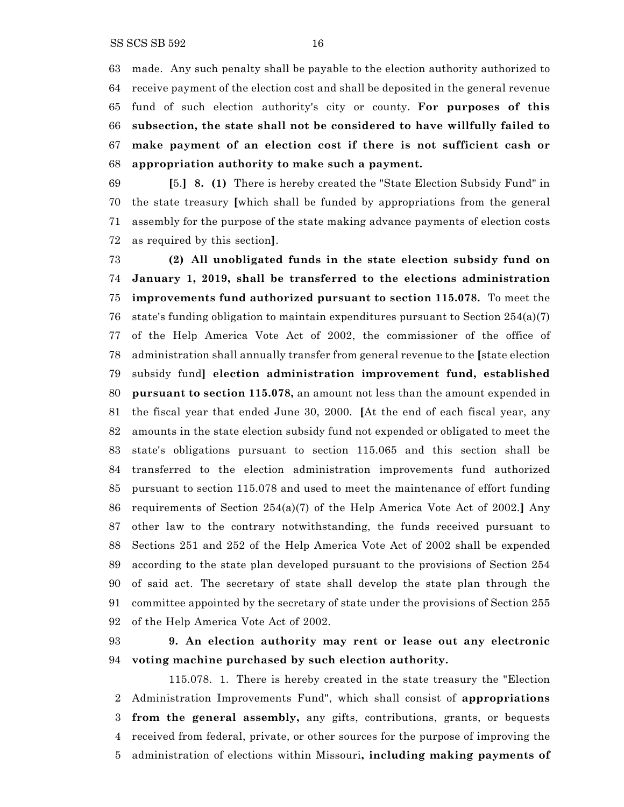made. Any such penalty shall be payable to the election authority authorized to receive payment of the election cost and shall be deposited in the general revenue fund of such election authority's city or county. **For purposes of this subsection, the state shall not be considered to have willfully failed to make payment of an election cost if there is not sufficient cash or appropriation authority to make such a payment.**

 **[**5.**] 8. (1)** There is hereby created the "State Election Subsidy Fund" in the state treasury **[**which shall be funded by appropriations from the general assembly for the purpose of the state making advance payments of election costs as required by this section**]**.

 **(2) All unobligated funds in the state election subsidy fund on January 1, 2019, shall be transferred to the elections administration improvements fund authorized pursuant to section 115.078.** To meet the state's funding obligation to maintain expenditures pursuant to Section 254(a)(7) of the Help America Vote Act of 2002, the commissioner of the office of administration shall annually transfer from general revenue to the **[**state election subsidy fund**] election administration improvement fund, established pursuant to section 115.078,** an amount not less than the amount expended in the fiscal year that ended June 30, 2000. **[**At the end of each fiscal year, any amounts in the state election subsidy fund not expended or obligated to meet the state's obligations pursuant to section 115.065 and this section shall be transferred to the election administration improvements fund authorized pursuant to section 115.078 and used to meet the maintenance of effort funding requirements of Section 254(a)(7) of the Help America Vote Act of 2002.**]** Any other law to the contrary notwithstanding, the funds received pursuant to Sections 251 and 252 of the Help America Vote Act of 2002 shall be expended according to the state plan developed pursuant to the provisions of Section 254 of said act. The secretary of state shall develop the state plan through the committee appointed by the secretary of state under the provisions of Section 255 of the Help America Vote Act of 2002.

## **9. An election authority may rent or lease out any electronic voting machine purchased by such election authority.**

115.078. 1. There is hereby created in the state treasury the "Election Administration Improvements Fund", which shall consist of **appropriations from the general assembly,** any gifts, contributions, grants, or bequests received from federal, private, or other sources for the purpose of improving the administration of elections within Missouri**, including making payments of**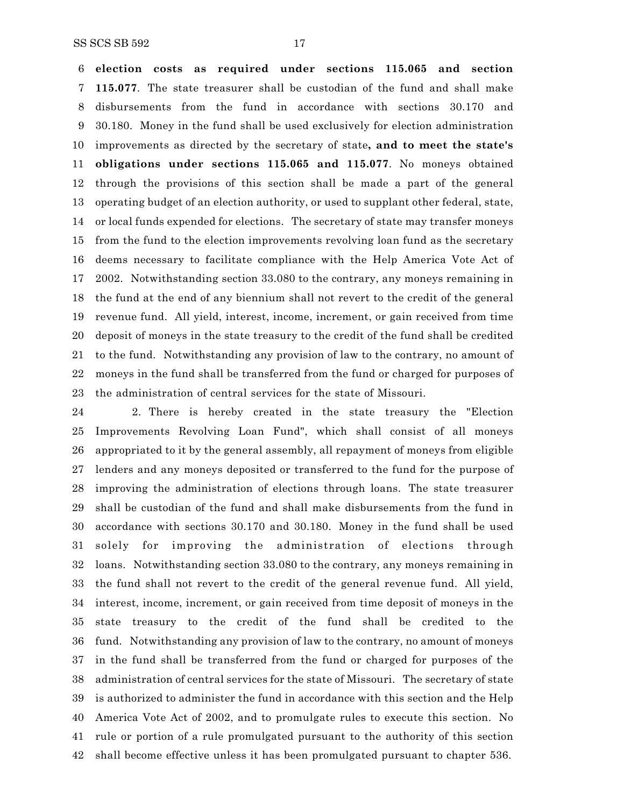**election costs as required under sections 115.065 and section 115.077**. The state treasurer shall be custodian of the fund and shall make disbursements from the fund in accordance with sections 30.170 and 30.180. Money in the fund shall be used exclusively for election administration improvements as directed by the secretary of state**, and to meet the state's obligations under sections 115.065 and 115.077**. No moneys obtained through the provisions of this section shall be made a part of the general operating budget of an election authority, or used to supplant other federal, state, or local funds expended for elections. The secretary of state may transfer moneys from the fund to the election improvements revolving loan fund as the secretary deems necessary to facilitate compliance with the Help America Vote Act of 2002. Notwithstanding section 33.080 to the contrary, any moneys remaining in the fund at the end of any biennium shall not revert to the credit of the general revenue fund. All yield, interest, income, increment, or gain received from time deposit of moneys in the state treasury to the credit of the fund shall be credited to the fund. Notwithstanding any provision of law to the contrary, no amount of moneys in the fund shall be transferred from the fund or charged for purposes of the administration of central services for the state of Missouri.

 2. There is hereby created in the state treasury the "Election Improvements Revolving Loan Fund", which shall consist of all moneys appropriated to it by the general assembly, all repayment of moneys from eligible lenders and any moneys deposited or transferred to the fund for the purpose of improving the administration of elections through loans. The state treasurer shall be custodian of the fund and shall make disbursements from the fund in accordance with sections 30.170 and 30.180. Money in the fund shall be used solely for improving the administration of elections through loans. Notwithstanding section 33.080 to the contrary, any moneys remaining in the fund shall not revert to the credit of the general revenue fund. All yield, interest, income, increment, or gain received from time deposit of moneys in the state treasury to the credit of the fund shall be credited to the fund. Notwithstanding any provision of law to the contrary, no amount of moneys in the fund shall be transferred from the fund or charged for purposes of the administration of central services for the state of Missouri. The secretary of state is authorized to administer the fund in accordance with this section and the Help America Vote Act of 2002, and to promulgate rules to execute this section. No rule or portion of a rule promulgated pursuant to the authority of this section shall become effective unless it has been promulgated pursuant to chapter 536.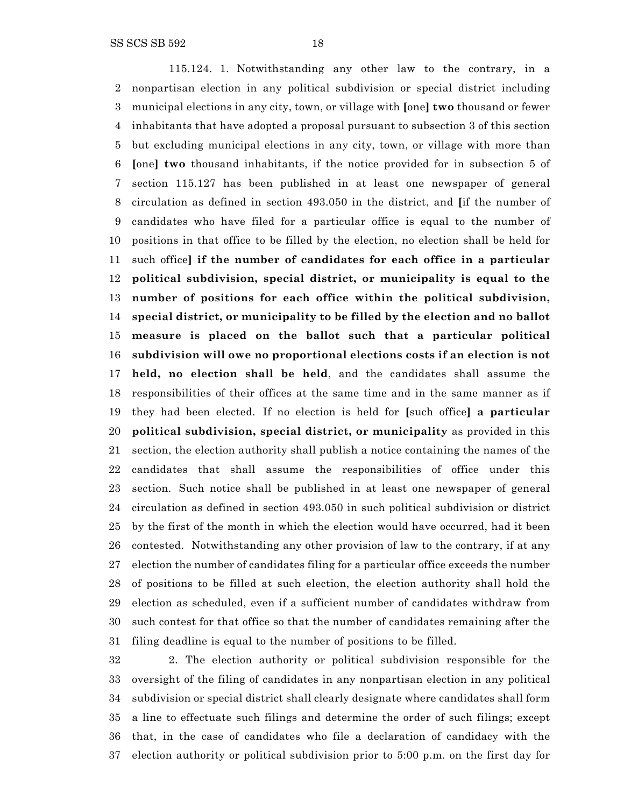115.124. 1. Notwithstanding any other law to the contrary, in a nonpartisan election in any political subdivision or special district including municipal elections in any city, town, or village with **[**one**] two** thousand or fewer inhabitants that have adopted a proposal pursuant to subsection 3 of this section but excluding municipal elections in any city, town, or village with more than **[**one**] two** thousand inhabitants, if the notice provided for in subsection 5 of section 115.127 has been published in at least one newspaper of general circulation as defined in section 493.050 in the district, and **[**if the number of candidates who have filed for a particular office is equal to the number of positions in that office to be filled by the election, no election shall be held for such office**] if the number of candidates for each office in a particular political subdivision, special district, or municipality is equal to the number of positions for each office within the political subdivision, special district, or municipality to be filled by the election and no ballot measure is placed on the ballot such that a particular political subdivision will owe no proportional elections costs if an election is not held, no election shall be held**, and the candidates shall assume the responsibilities of their offices at the same time and in the same manner as if they had been elected. If no election is held for **[**such office**] a particular political subdivision, special district, or municipality** as provided in this section, the election authority shall publish a notice containing the names of the candidates that shall assume the responsibilities of office under this section. Such notice shall be published in at least one newspaper of general circulation as defined in section 493.050 in such political subdivision or district by the first of the month in which the election would have occurred, had it been contested. Notwithstanding any other provision of law to the contrary, if at any election the number of candidates filing for a particular office exceeds the number of positions to be filled at such election, the election authority shall hold the election as scheduled, even if a sufficient number of candidates withdraw from such contest for that office so that the number of candidates remaining after the filing deadline is equal to the number of positions to be filled.

 2. The election authority or political subdivision responsible for the oversight of the filing of candidates in any nonpartisan election in any political subdivision or special district shall clearly designate where candidates shall form a line to effectuate such filings and determine the order of such filings; except that, in the case of candidates who file a declaration of candidacy with the election authority or political subdivision prior to 5:00 p.m. on the first day for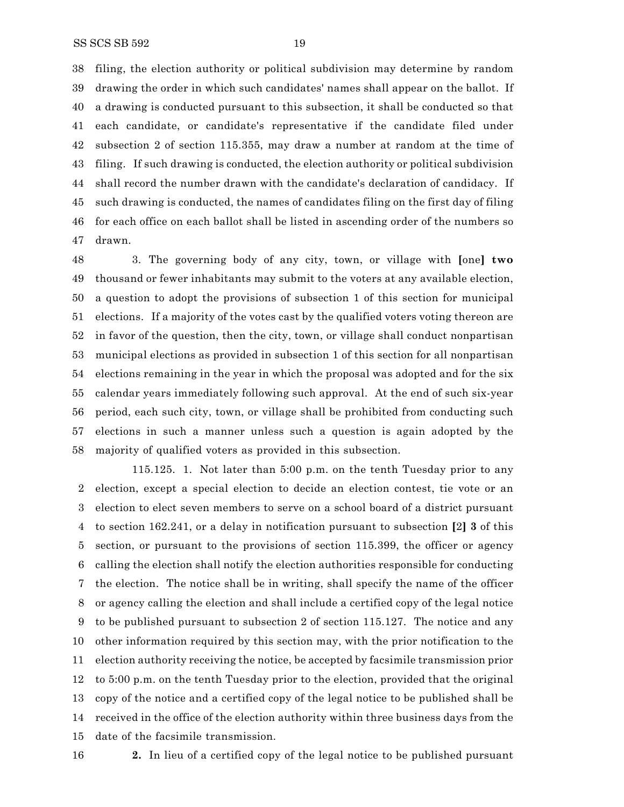filing, the election authority or political subdivision may determine by random drawing the order in which such candidates' names shall appear on the ballot. If a drawing is conducted pursuant to this subsection, it shall be conducted so that each candidate, or candidate's representative if the candidate filed under subsection 2 of section 115.355, may draw a number at random at the time of filing. If such drawing is conducted, the election authority or political subdivision shall record the number drawn with the candidate's declaration of candidacy. If such drawing is conducted, the names of candidates filing on the first day of filing for each office on each ballot shall be listed in ascending order of the numbers so drawn.

 3. The governing body of any city, town, or village with **[**one**] two** thousand or fewer inhabitants may submit to the voters at any available election, a question to adopt the provisions of subsection 1 of this section for municipal elections. If a majority of the votes cast by the qualified voters voting thereon are in favor of the question, then the city, town, or village shall conduct nonpartisan municipal elections as provided in subsection 1 of this section for all nonpartisan elections remaining in the year in which the proposal was adopted and for the six calendar years immediately following such approval. At the end of such six-year period, each such city, town, or village shall be prohibited from conducting such elections in such a manner unless such a question is again adopted by the majority of qualified voters as provided in this subsection.

115.125. 1. Not later than 5:00 p.m. on the tenth Tuesday prior to any election, except a special election to decide an election contest, tie vote or an election to elect seven members to serve on a school board of a district pursuant to section 162.241, or a delay in notification pursuant to subsection **[**2**] 3** of this section, or pursuant to the provisions of section 115.399, the officer or agency calling the election shall notify the election authorities responsible for conducting the election. The notice shall be in writing, shall specify the name of the officer or agency calling the election and shall include a certified copy of the legal notice to be published pursuant to subsection 2 of section 115.127. The notice and any other information required by this section may, with the prior notification to the election authority receiving the notice, be accepted by facsimile transmission prior to 5:00 p.m. on the tenth Tuesday prior to the election, provided that the original copy of the notice and a certified copy of the legal notice to be published shall be received in the office of the election authority within three business days from the date of the facsimile transmission.

**2.** In lieu of a certified copy of the legal notice to be published pursuant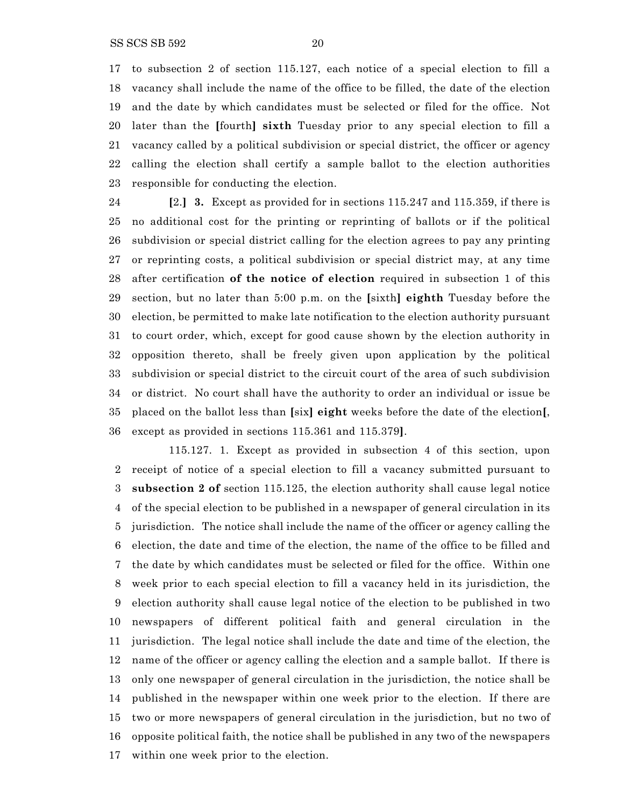to subsection 2 of section 115.127, each notice of a special election to fill a vacancy shall include the name of the office to be filled, the date of the election and the date by which candidates must be selected or filed for the office. Not later than the **[**fourth**] sixth** Tuesday prior to any special election to fill a vacancy called by a political subdivision or special district, the officer or agency calling the election shall certify a sample ballot to the election authorities responsible for conducting the election.

 **[**2.**] 3.** Except as provided for in sections 115.247 and 115.359, if there is no additional cost for the printing or reprinting of ballots or if the political subdivision or special district calling for the election agrees to pay any printing or reprinting costs, a political subdivision or special district may, at any time after certification **of the notice of election** required in subsection 1 of this section, but no later than 5:00 p.m. on the **[**sixth**] eighth** Tuesday before the election, be permitted to make late notification to the election authority pursuant to court order, which, except for good cause shown by the election authority in opposition thereto, shall be freely given upon application by the political subdivision or special district to the circuit court of the area of such subdivision or district. No court shall have the authority to order an individual or issue be placed on the ballot less than **[**six**] eight** weeks before the date of the election**[**, except as provided in sections 115.361 and 115.379**]**.

115.127. 1. Except as provided in subsection 4 of this section, upon receipt of notice of a special election to fill a vacancy submitted pursuant to **subsection 2 of** section 115.125, the election authority shall cause legal notice of the special election to be published in a newspaper of general circulation in its jurisdiction. The notice shall include the name of the officer or agency calling the election, the date and time of the election, the name of the office to be filled and the date by which candidates must be selected or filed for the office. Within one week prior to each special election to fill a vacancy held in its jurisdiction, the election authority shall cause legal notice of the election to be published in two newspapers of different political faith and general circulation in the jurisdiction. The legal notice shall include the date and time of the election, the name of the officer or agency calling the election and a sample ballot. If there is only one newspaper of general circulation in the jurisdiction, the notice shall be published in the newspaper within one week prior to the election. If there are two or more newspapers of general circulation in the jurisdiction, but no two of opposite political faith, the notice shall be published in any two of the newspapers within one week prior to the election.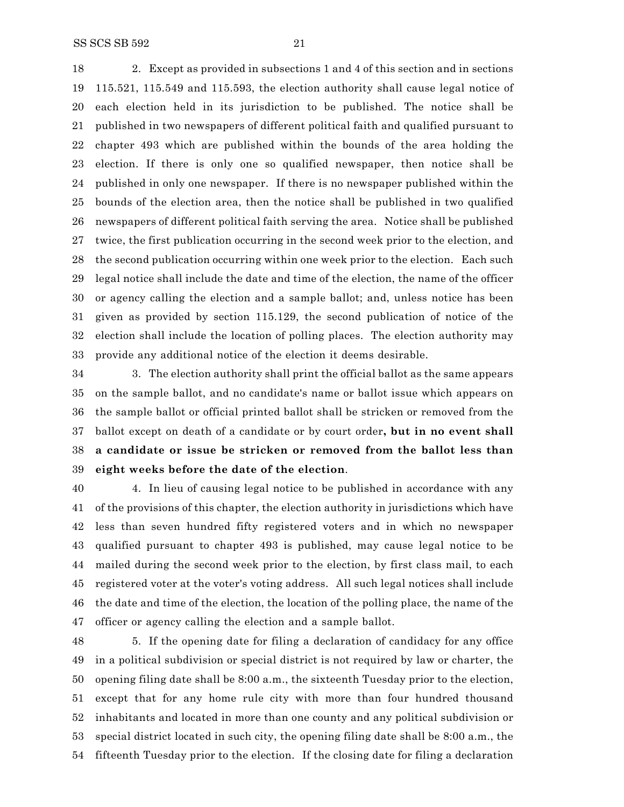2. Except as provided in subsections 1 and 4 of this section and in sections 115.521, 115.549 and 115.593, the election authority shall cause legal notice of each election held in its jurisdiction to be published. The notice shall be published in two newspapers of different political faith and qualified pursuant to chapter 493 which are published within the bounds of the area holding the election. If there is only one so qualified newspaper, then notice shall be published in only one newspaper. If there is no newspaper published within the bounds of the election area, then the notice shall be published in two qualified newspapers of different political faith serving the area. Notice shall be published twice, the first publication occurring in the second week prior to the election, and the second publication occurring within one week prior to the election. Each such legal notice shall include the date and time of the election, the name of the officer or agency calling the election and a sample ballot; and, unless notice has been given as provided by section 115.129, the second publication of notice of the election shall include the location of polling places. The election authority may provide any additional notice of the election it deems desirable.

 3. The election authority shall print the official ballot as the same appears on the sample ballot, and no candidate's name or ballot issue which appears on the sample ballot or official printed ballot shall be stricken or removed from the ballot except on death of a candidate or by court order**, but in no event shall a candidate or issue be stricken or removed from the ballot less than eight weeks before the date of the election**.

 4. In lieu of causing legal notice to be published in accordance with any of the provisions of this chapter, the election authority in jurisdictions which have less than seven hundred fifty registered voters and in which no newspaper qualified pursuant to chapter 493 is published, may cause legal notice to be mailed during the second week prior to the election, by first class mail, to each registered voter at the voter's voting address. All such legal notices shall include the date and time of the election, the location of the polling place, the name of the officer or agency calling the election and a sample ballot.

 5. If the opening date for filing a declaration of candidacy for any office in a political subdivision or special district is not required by law or charter, the opening filing date shall be 8:00 a.m., the sixteenth Tuesday prior to the election, except that for any home rule city with more than four hundred thousand inhabitants and located in more than one county and any political subdivision or special district located in such city, the opening filing date shall be 8:00 a.m., the fifteenth Tuesday prior to the election. If the closing date for filing a declaration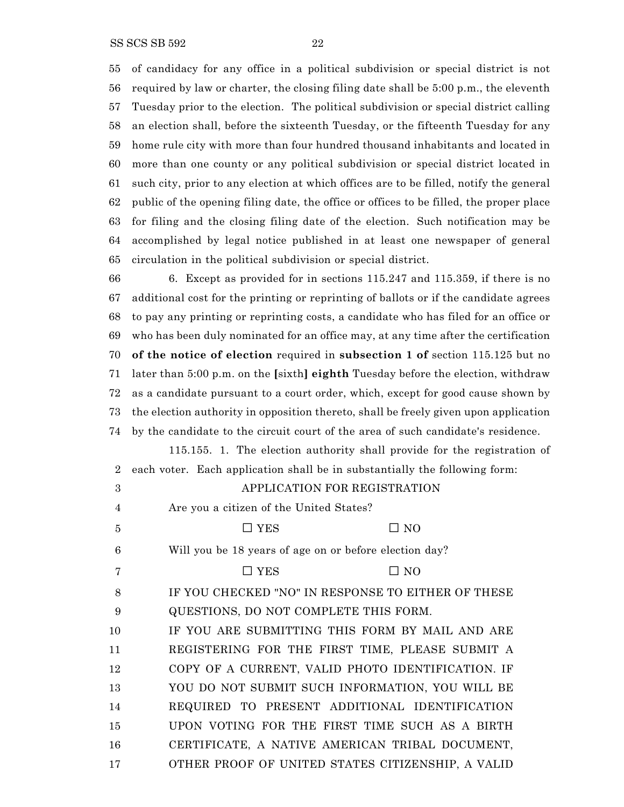of candidacy for any office in a political subdivision or special district is not required by law or charter, the closing filing date shall be 5:00 p.m., the eleventh Tuesday prior to the election. The political subdivision or special district calling an election shall, before the sixteenth Tuesday, or the fifteenth Tuesday for any home rule city with more than four hundred thousand inhabitants and located in more than one county or any political subdivision or special district located in such city, prior to any election at which offices are to be filled, notify the general public of the opening filing date, the office or offices to be filled, the proper place for filing and the closing filing date of the election. Such notification may be accomplished by legal notice published in at least one newspaper of general circulation in the political subdivision or special district.

 6. Except as provided for in sections 115.247 and 115.359, if there is no additional cost for the printing or reprinting of ballots or if the candidate agrees to pay any printing or reprinting costs, a candidate who has filed for an office or who has been duly nominated for an office may, at any time after the certification **of the notice of election** required in **subsection 1 of** section 115.125 but no later than 5:00 p.m. on the **[**sixth**] eighth** Tuesday before the election, withdraw as a candidate pursuant to a court order, which, except for good cause shown by the election authority in opposition thereto, shall be freely given upon application by the candidate to the circuit court of the area of such candidate's residence.

115.155. 1. The election authority shall provide for the registration of each voter. Each application shall be in substantially the following form:

| 3  | APPLICATION FOR REGISTRATION                           |
|----|--------------------------------------------------------|
| 4  | Are you a citizen of the United States?                |
| 5  | $\Box$ YES<br>$\Box$ No                                |
| 6  | Will you be 18 years of age on or before election day? |
| 7  | $\Box$ YES<br>$\Box$ No                                |
| 8  | IF YOU CHECKED "NO" IN RESPONSE TO EITHER OF THESE     |
| 9  | QUESTIONS, DO NOT COMPLETE THIS FORM.                  |
| 10 | IF YOU ARE SUBMITTING THIS FORM BY MAIL AND ARE        |
| 11 | REGISTERING FOR THE FIRST TIME, PLEASE SUBMIT A        |
| 12 | COPY OF A CURRENT, VALID PHOTO IDENTIFICATION. IF      |
| 13 | YOU DO NOT SUBMIT SUCH INFORMATION, YOU WILL BE        |
| 14 | REQUIRED TO PRESENT ADDITIONAL IDENTIFICATION          |
| 15 | UPON VOTING FOR THE FIRST TIME SUCH AS A BIRTH         |
| 16 | CERTIFICATE, A NATIVE AMERICAN TRIBAL DOCUMENT,        |
| 17 | OTHER PROOF OF UNITED STATES CITIZENSHIP, A VALID      |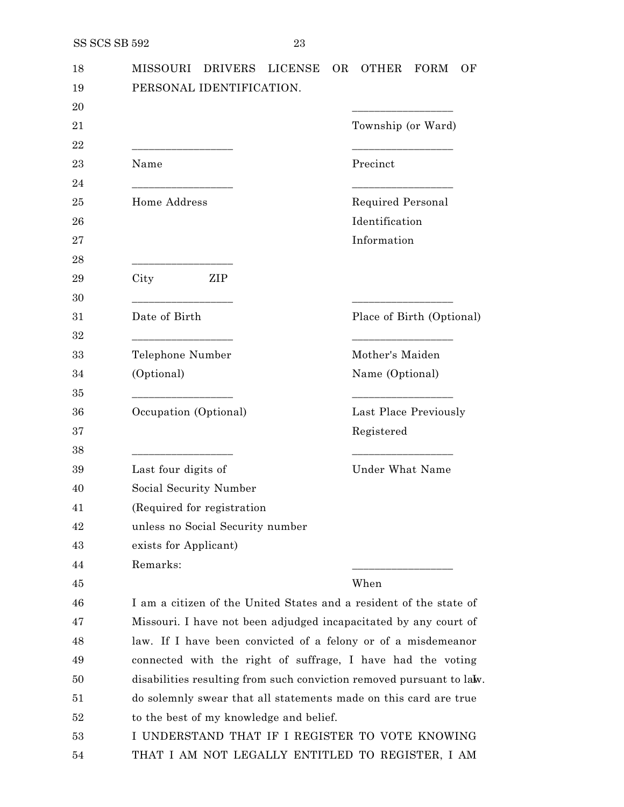| 18 | <b>MISSOURI</b><br><b>DRIVERS</b><br><b>LICENSE</b>                  | <b>OR</b><br><b>OTHER</b><br><b>FORM</b><br>ОF                     |  |
|----|----------------------------------------------------------------------|--------------------------------------------------------------------|--|
| 19 | PERSONAL IDENTIFICATION.                                             |                                                                    |  |
| 20 |                                                                      |                                                                    |  |
| 21 |                                                                      | Township (or Ward)                                                 |  |
| 22 |                                                                      | _____________                                                      |  |
| 23 | Name                                                                 | Precinct                                                           |  |
| 24 | the control of the control of the control of                         |                                                                    |  |
| 25 | Home Address                                                         | Required Personal                                                  |  |
| 26 |                                                                      | Identification                                                     |  |
| 27 |                                                                      | Information                                                        |  |
| 28 |                                                                      |                                                                    |  |
| 29 | ZIP<br>City                                                          |                                                                    |  |
| 30 |                                                                      | <u> 1989 - Johann Barbara, martxa al</u>                           |  |
| 31 | Date of Birth                                                        | Place of Birth (Optional)                                          |  |
| 32 |                                                                      |                                                                    |  |
| 33 | Telephone Number                                                     | Mother's Maiden                                                    |  |
| 34 | (Optional)                                                           | Name (Optional)                                                    |  |
| 35 |                                                                      |                                                                    |  |
| 36 | Occupation (Optional)                                                | Last Place Previously                                              |  |
| 37 |                                                                      | Registered                                                         |  |
| 38 | __________________________                                           |                                                                    |  |
| 39 | Last four digits of                                                  | <b>Under What Name</b>                                             |  |
| 40 | Social Security Number                                               |                                                                    |  |
| 41 | (Required for registration)                                          |                                                                    |  |
| 42 | unless no Social Security number                                     |                                                                    |  |
| 43 | exists for Applicant)                                                |                                                                    |  |
| 44 | Remarks:                                                             |                                                                    |  |
| 45 |                                                                      | When                                                               |  |
| 46 |                                                                      | I am a citizen of the United States and a resident of the state of |  |
| 47 |                                                                      | Missouri. I have not been adjudged incapacitated by any court of   |  |
| 48 | law. If I have been convicted of a felony or of a misdemeanor        |                                                                    |  |
| 49 |                                                                      | connected with the right of suffrage, I have had the voting        |  |
| 50 | disabilities resulting from such conviction removed pursuant to law. |                                                                    |  |
| 51 | do solemnly swear that all statements made on this card are true     |                                                                    |  |
| 52 | to the best of my knowledge and belief.                              |                                                                    |  |
| 53 |                                                                      | I UNDERSTAND THAT IF I REGISTER TO VOTE KNOWING                    |  |
| 54 | THAT I AM NOT LEGALLY ENTITLED TO REGISTER, I AM                     |                                                                    |  |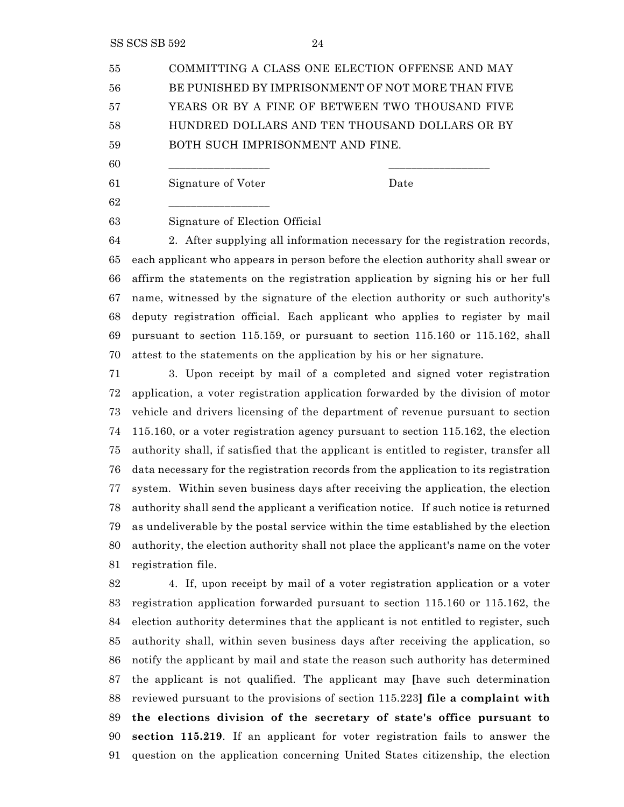SS SCS SB 592 24

 COMMITTING A CLASS ONE ELECTION OFFENSE AND MAY BE PUNISHED BY IMPRISONMENT OF NOT MORE THAN FIVE YEARS OR BY A FINE OF BETWEEN TWO THOUSAND FIVE HUNDRED DOLLARS AND TEN THOUSAND DOLLARS OR BY BOTH SUCH IMPRISONMENT AND FINE.

\_\_\_\_\_\_\_\_\_\_\_\_\_\_\_\_\_\_ \_\_\_\_\_\_\_\_\_\_\_\_\_\_\_\_\_\_

Signature of Voter Date

\_\_\_\_\_\_\_\_\_\_\_\_\_\_\_\_\_\_

Signature of Election Official

 2. After supplying all information necessary for the registration records, each applicant who appears in person before the election authority shall swear or affirm the statements on the registration application by signing his or her full name, witnessed by the signature of the election authority or such authority's deputy registration official. Each applicant who applies to register by mail pursuant to section 115.159, or pursuant to section 115.160 or 115.162, shall attest to the statements on the application by his or her signature.

 3. Upon receipt by mail of a completed and signed voter registration application, a voter registration application forwarded by the division of motor vehicle and drivers licensing of the department of revenue pursuant to section 115.160, or a voter registration agency pursuant to section 115.162, the election authority shall, if satisfied that the applicant is entitled to register, transfer all data necessary for the registration records from the application to its registration system. Within seven business days after receiving the application, the election authority shall send the applicant a verification notice. If such notice is returned as undeliverable by the postal service within the time established by the election authority, the election authority shall not place the applicant's name on the voter registration file.

 4. If, upon receipt by mail of a voter registration application or a voter registration application forwarded pursuant to section 115.160 or 115.162, the election authority determines that the applicant is not entitled to register, such authority shall, within seven business days after receiving the application, so notify the applicant by mail and state the reason such authority has determined the applicant is not qualified. The applicant may **[**have such determination reviewed pursuant to the provisions of section 115.223**] file a complaint with the elections division of the secretary of state's office pursuant to section 115.219**. If an applicant for voter registration fails to answer the question on the application concerning United States citizenship, the election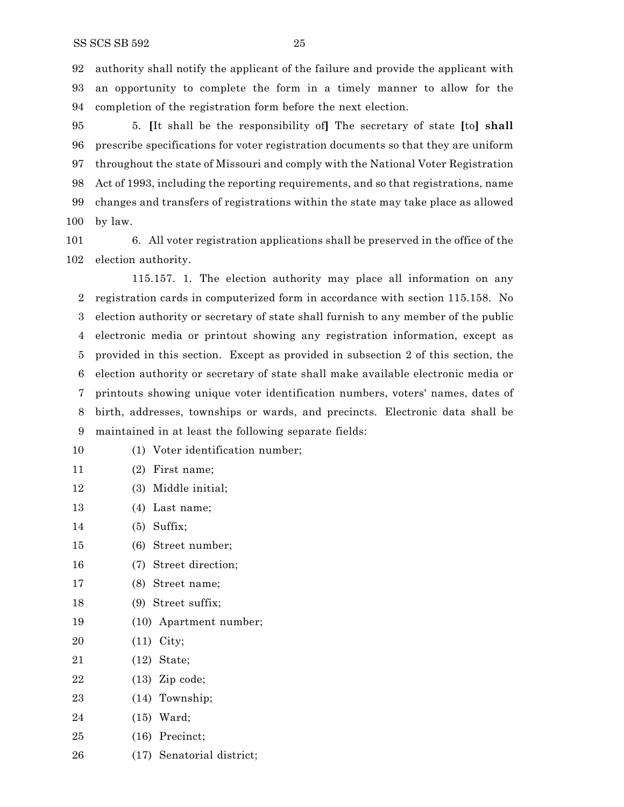authority shall notify the applicant of the failure and provide the applicant with an opportunity to complete the form in a timely manner to allow for the completion of the registration form before the next election.

 5. **[**It shall be the responsibility of**]** The secretary of state **[**to**] shall** prescribe specifications for voter registration documents so that they are uniform throughout the state of Missouri and comply with the National Voter Registration Act of 1993, including the reporting requirements, and so that registrations, name changes and transfers of registrations within the state may take place as allowed by law.

 6. All voter registration applications shall be preserved in the office of the election authority.

115.157. 1. The election authority may place all information on any registration cards in computerized form in accordance with section 115.158. No election authority or secretary of state shall furnish to any member of the public electronic media or printout showing any registration information, except as provided in this section. Except as provided in subsection 2 of this section, the election authority or secretary of state shall make available electronic media or printouts showing unique voter identification numbers, voters' names, dates of birth, addresses, townships or wards, and precincts. Electronic data shall be maintained in at least the following separate fields:

- (1) Voter identification number;
- (2) First name;
- (3) Middle initial;
- (4) Last name;
- (5) Suffix;
- (6) Street number;
- (7) Street direction;
- (8) Street name;
- (9) Street suffix;
- (10) Apartment number;
- (11) City;
- (12) State;
- (13) Zip code;
- (14) Township;
- (15) Ward;
- (16) Precinct;
- (17) Senatorial district;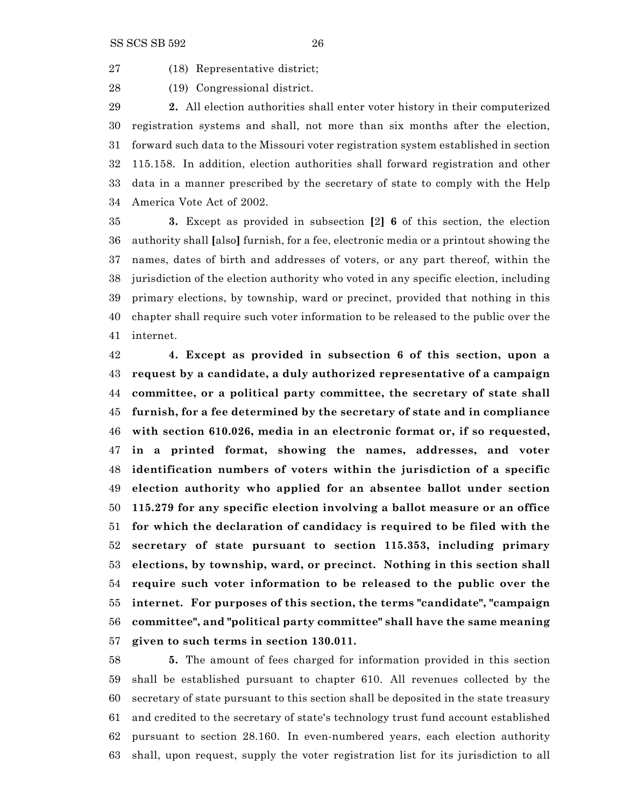(18) Representative district;

(19) Congressional district.

 **2.** All election authorities shall enter voter history in their computerized registration systems and shall, not more than six months after the election, forward such data to the Missouri voter registration system established in section 115.158. In addition, election authorities shall forward registration and other data in a manner prescribed by the secretary of state to comply with the Help America Vote Act of 2002.

 **3.** Except as provided in subsection **[**2**] 6** of this section, the election authority shall **[**also**]** furnish, for a fee, electronic media or a printout showing the names, dates of birth and addresses of voters, or any part thereof, within the jurisdiction of the election authority who voted in any specific election, including primary elections, by township, ward or precinct, provided that nothing in this chapter shall require such voter information to be released to the public over the internet.

 **4. Except as provided in subsection 6 of this section, upon a request by a candidate, a duly authorized representative of a campaign committee, or a political party committee, the secretary of state shall furnish, for a fee determined by the secretary of state and in compliance with section 610.026, media in an electronic format or, if so requested, in a printed format, showing the names, addresses, and voter identification numbers of voters within the jurisdiction of a specific election authority who applied for an absentee ballot under section 115.279 for any specific election involving a ballot measure or an office for which the declaration of candidacy is required to be filed with the secretary of state pursuant to section 115.353, including primary elections, by township, ward, or precinct. Nothing in this section shall require such voter information to be released to the public over the internet. For purposes of this section, the terms "candidate", "campaign committee", and "political party committee" shall have the same meaning given to such terms in section 130.011.**

 **5.** The amount of fees charged for information provided in this section shall be established pursuant to chapter 610. All revenues collected by the secretary of state pursuant to this section shall be deposited in the state treasury and credited to the secretary of state's technology trust fund account established pursuant to section 28.160. In even-numbered years, each election authority shall, upon request, supply the voter registration list for its jurisdiction to all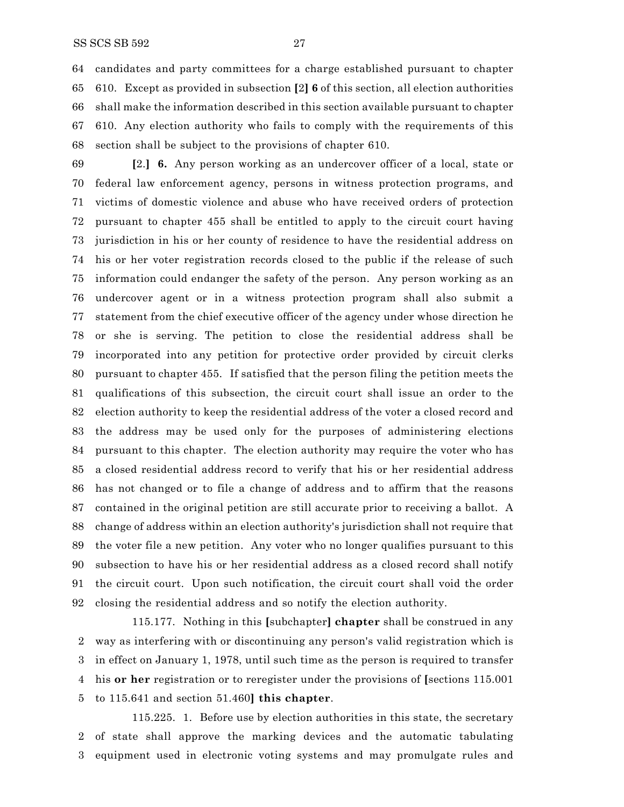candidates and party committees for a charge established pursuant to chapter 610. Except as provided in subsection **[**2**] 6** of this section, all election authorities shall make the information described in this section available pursuant to chapter 610. Any election authority who fails to comply with the requirements of this section shall be subject to the provisions of chapter 610.

 **[**2.**] 6.** Any person working as an undercover officer of a local, state or federal law enforcement agency, persons in witness protection programs, and victims of domestic violence and abuse who have received orders of protection pursuant to chapter 455 shall be entitled to apply to the circuit court having jurisdiction in his or her county of residence to have the residential address on his or her voter registration records closed to the public if the release of such information could endanger the safety of the person. Any person working as an undercover agent or in a witness protection program shall also submit a statement from the chief executive officer of the agency under whose direction he or she is serving. The petition to close the residential address shall be incorporated into any petition for protective order provided by circuit clerks pursuant to chapter 455. If satisfied that the person filing the petition meets the qualifications of this subsection, the circuit court shall issue an order to the election authority to keep the residential address of the voter a closed record and the address may be used only for the purposes of administering elections pursuant to this chapter. The election authority may require the voter who has a closed residential address record to verify that his or her residential address has not changed or to file a change of address and to affirm that the reasons contained in the original petition are still accurate prior to receiving a ballot. A change of address within an election authority's jurisdiction shall not require that the voter file a new petition. Any voter who no longer qualifies pursuant to this subsection to have his or her residential address as a closed record shall notify the circuit court. Upon such notification, the circuit court shall void the order closing the residential address and so notify the election authority.

115.177. Nothing in this **[**subchapter**] chapter** shall be construed in any way as interfering with or discontinuing any person's valid registration which is in effect on January 1, 1978, until such time as the person is required to transfer his **or her** registration or to reregister under the provisions of **[**sections 115.001 to 115.641 and section 51.460**] this chapter**.

115.225. 1. Before use by election authorities in this state, the secretary of state shall approve the marking devices and the automatic tabulating equipment used in electronic voting systems and may promulgate rules and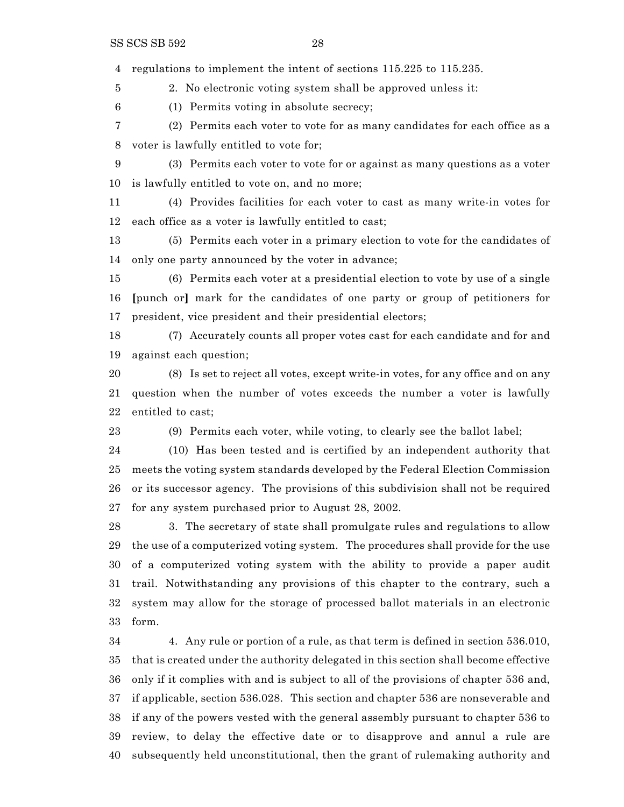regulations to implement the intent of sections 115.225 to 115.235.

2. No electronic voting system shall be approved unless it:

(1) Permits voting in absolute secrecy;

 (2) Permits each voter to vote for as many candidates for each office as a voter is lawfully entitled to vote for;

 (3) Permits each voter to vote for or against as many questions as a voter is lawfully entitled to vote on, and no more;

 (4) Provides facilities for each voter to cast as many write-in votes for each office as a voter is lawfully entitled to cast;

 (5) Permits each voter in a primary election to vote for the candidates of only one party announced by the voter in advance;

 (6) Permits each voter at a presidential election to vote by use of a single **[**punch or**]** mark for the candidates of one party or group of petitioners for president, vice president and their presidential electors;

 (7) Accurately counts all proper votes cast for each candidate and for and against each question;

 (8) Is set to reject all votes, except write-in votes, for any office and on any question when the number of votes exceeds the number a voter is lawfully entitled to cast;

(9) Permits each voter, while voting, to clearly see the ballot label;

 (10) Has been tested and is certified by an independent authority that meets the voting system standards developed by the Federal Election Commission or its successor agency. The provisions of this subdivision shall not be required for any system purchased prior to August 28, 2002.

 3. The secretary of state shall promulgate rules and regulations to allow the use of a computerized voting system. The procedures shall provide for the use of a computerized voting system with the ability to provide a paper audit trail. Notwithstanding any provisions of this chapter to the contrary, such a system may allow for the storage of processed ballot materials in an electronic form.

 4. Any rule or portion of a rule, as that term is defined in section 536.010, that is created under the authority delegated in this section shall become effective only if it complies with and is subject to all of the provisions of chapter 536 and, if applicable, section 536.028. This section and chapter 536 are nonseverable and if any of the powers vested with the general assembly pursuant to chapter 536 to review, to delay the effective date or to disapprove and annul a rule are subsequently held unconstitutional, then the grant of rulemaking authority and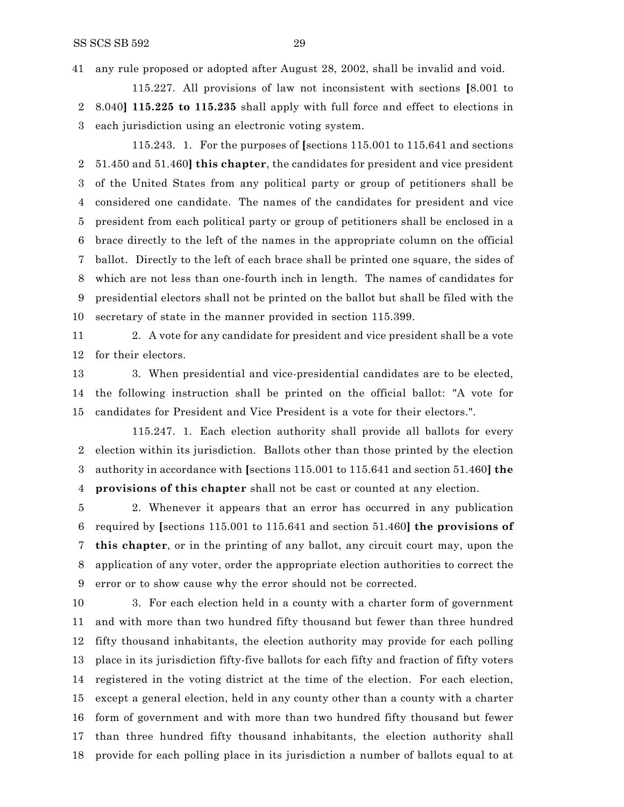any rule proposed or adopted after August 28, 2002, shall be invalid and void.

115.227. All provisions of law not inconsistent with sections **[**8.001 to 8.040**] 115.225 to 115.235** shall apply with full force and effect to elections in each jurisdiction using an electronic voting system.

115.243. 1. For the purposes of **[**sections 115.001 to 115.641 and sections 51.450 and 51.460**] this chapter**, the candidates for president and vice president of the United States from any political party or group of petitioners shall be considered one candidate. The names of the candidates for president and vice president from each political party or group of petitioners shall be enclosed in a brace directly to the left of the names in the appropriate column on the official ballot. Directly to the left of each brace shall be printed one square, the sides of which are not less than one-fourth inch in length. The names of candidates for presidential electors shall not be printed on the ballot but shall be filed with the secretary of state in the manner provided in section 115.399.

 2. A vote for any candidate for president and vice president shall be a vote for their electors.

 3. When presidential and vice-presidential candidates are to be elected, the following instruction shall be printed on the official ballot: "A vote for candidates for President and Vice President is a vote for their electors.".

115.247. 1. Each election authority shall provide all ballots for every election within its jurisdiction. Ballots other than those printed by the election authority in accordance with **[**sections 115.001 to 115.641 and section 51.460**] the provisions of this chapter** shall not be cast or counted at any election.

 2. Whenever it appears that an error has occurred in any publication required by **[**sections 115.001 to 115.641 and section 51.460**] the provisions of this chapter**, or in the printing of any ballot, any circuit court may, upon the application of any voter, order the appropriate election authorities to correct the error or to show cause why the error should not be corrected.

 3. For each election held in a county with a charter form of government and with more than two hundred fifty thousand but fewer than three hundred fifty thousand inhabitants, the election authority may provide for each polling place in its jurisdiction fifty-five ballots for each fifty and fraction of fifty voters registered in the voting district at the time of the election. For each election, except a general election, held in any county other than a county with a charter form of government and with more than two hundred fifty thousand but fewer than three hundred fifty thousand inhabitants, the election authority shall provide for each polling place in its jurisdiction a number of ballots equal to at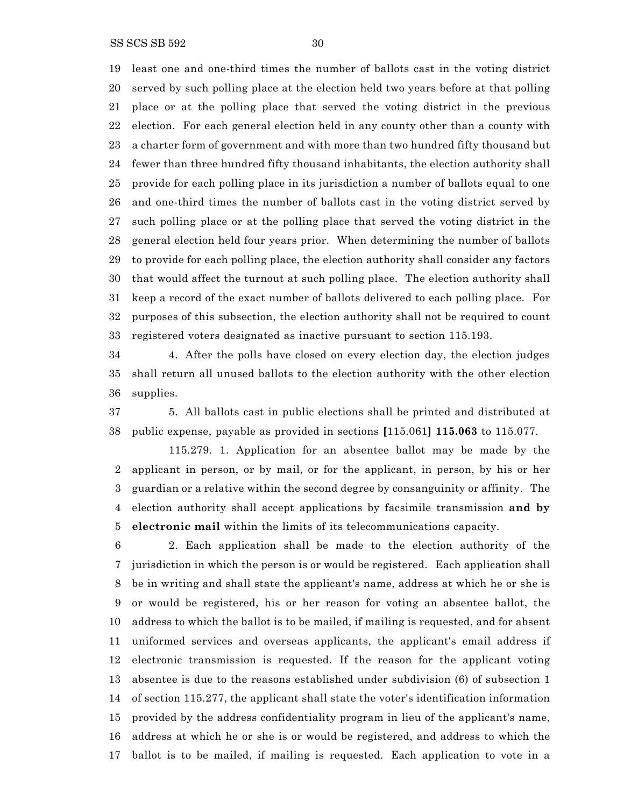SS SCS SB 592 30

 least one and one-third times the number of ballots cast in the voting district served by such polling place at the election held two years before at that polling place or at the polling place that served the voting district in the previous election. For each general election held in any county other than a county with a charter form of government and with more than two hundred fifty thousand but fewer than three hundred fifty thousand inhabitants, the election authority shall provide for each polling place in its jurisdiction a number of ballots equal to one and one-third times the number of ballots cast in the voting district served by such polling place or at the polling place that served the voting district in the general election held four years prior. When determining the number of ballots to provide for each polling place, the election authority shall consider any factors that would affect the turnout at such polling place. The election authority shall keep a record of the exact number of ballots delivered to each polling place. For purposes of this subsection, the election authority shall not be required to count registered voters designated as inactive pursuant to section 115.193.

 4. After the polls have closed on every election day, the election judges shall return all unused ballots to the election authority with the other election supplies.

 5. All ballots cast in public elections shall be printed and distributed at public expense, payable as provided in sections **[**115.061**] 115.063** to 115.077.

115.279. 1. Application for an absentee ballot may be made by the applicant in person, or by mail, or for the applicant, in person, by his or her guardian or a relative within the second degree by consanguinity or affinity. The election authority shall accept applications by facsimile transmission **and by electronic mail** within the limits of its telecommunications capacity.

 2. Each application shall be made to the election authority of the jurisdiction in which the person is or would be registered. Each application shall be in writing and shall state the applicant's name, address at which he or she is or would be registered, his or her reason for voting an absentee ballot, the address to which the ballot is to be mailed, if mailing is requested, and for absent uniformed services and overseas applicants, the applicant's email address if electronic transmission is requested. If the reason for the applicant voting absentee is due to the reasons established under subdivision (6) of subsection 1 of section 115.277, the applicant shall state the voter's identification information provided by the address confidentiality program in lieu of the applicant's name, address at which he or she is or would be registered, and address to which the ballot is to be mailed, if mailing is requested. Each application to vote in a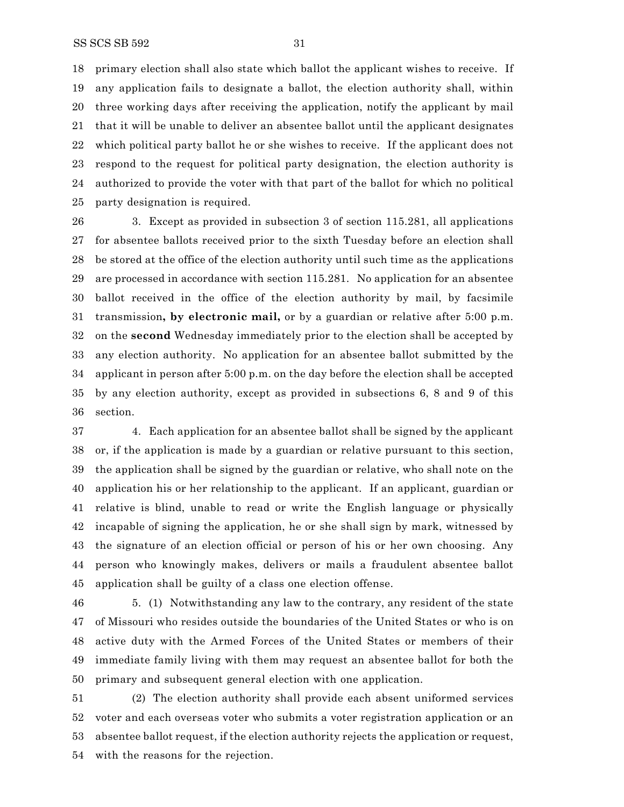primary election shall also state which ballot the applicant wishes to receive. If any application fails to designate a ballot, the election authority shall, within three working days after receiving the application, notify the applicant by mail that it will be unable to deliver an absentee ballot until the applicant designates which political party ballot he or she wishes to receive. If the applicant does not respond to the request for political party designation, the election authority is authorized to provide the voter with that part of the ballot for which no political party designation is required.

 3. Except as provided in subsection 3 of section 115.281, all applications for absentee ballots received prior to the sixth Tuesday before an election shall be stored at the office of the election authority until such time as the applications are processed in accordance with section 115.281. No application for an absentee ballot received in the office of the election authority by mail, by facsimile transmission**, by electronic mail,** or by a guardian or relative after 5:00 p.m. on the **second** Wednesday immediately prior to the election shall be accepted by any election authority. No application for an absentee ballot submitted by the applicant in person after 5:00 p.m. on the day before the election shall be accepted by any election authority, except as provided in subsections 6, 8 and 9 of this section.

 4. Each application for an absentee ballot shall be signed by the applicant or, if the application is made by a guardian or relative pursuant to this section, the application shall be signed by the guardian or relative, who shall note on the application his or her relationship to the applicant. If an applicant, guardian or relative is blind, unable to read or write the English language or physically incapable of signing the application, he or she shall sign by mark, witnessed by the signature of an election official or person of his or her own choosing. Any person who knowingly makes, delivers or mails a fraudulent absentee ballot application shall be guilty of a class one election offense.

 5. (1) Notwithstanding any law to the contrary, any resident of the state of Missouri who resides outside the boundaries of the United States or who is on active duty with the Armed Forces of the United States or members of their immediate family living with them may request an absentee ballot for both the primary and subsequent general election with one application.

 (2) The election authority shall provide each absent uniformed services voter and each overseas voter who submits a voter registration application or an absentee ballot request, if the election authority rejects the application or request, with the reasons for the rejection.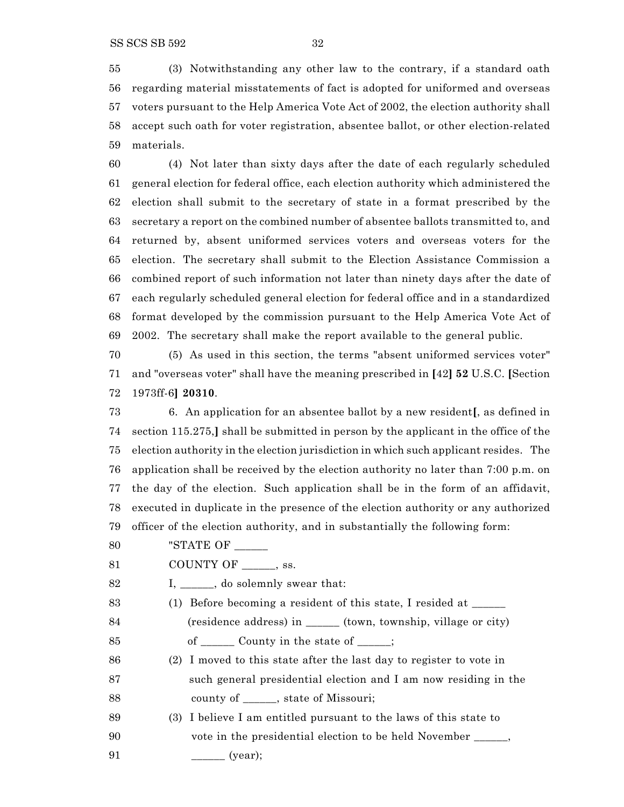(4) Not later than sixty days after the date of each regularly scheduled general election for federal office, each election authority which administered the election shall submit to the secretary of state in a format prescribed by the secretary a report on the combined number of absentee ballots transmitted to, and returned by, absent uniformed services voters and overseas voters for the election. The secretary shall submit to the Election Assistance Commission a combined report of such information not later than ninety days after the date of each regularly scheduled general election for federal office and in a standardized format developed by the commission pursuant to the Help America Vote Act of 2002. The secretary shall make the report available to the general public.

 (5) As used in this section, the terms "absent uniformed services voter" and "overseas voter" shall have the meaning prescribed in **[**42**] 52** U.S.C. **[**Section 1973ff-6**] 20310**.

 6. An application for an absentee ballot by a new resident**[**, as defined in section 115.275,**]** shall be submitted in person by the applicant in the office of the election authority in the election jurisdiction in which such applicant resides. The application shall be received by the election authority no later than 7:00 p.m. on the day of the election. Such application shall be in the form of an affidavit, executed in duplicate in the presence of the election authority or any authorized officer of the election authority, and in substantially the following form:

80 "STATE OF \_\_\_\_\_\_

81 COUNTY OF \_\_\_\_\_\_, ss.

- 82 I, subsetting I, and Solemnly swear that:
- 83 (1) Before becoming a resident of this state, I resided at \_\_\_\_\_\_ 84 (residence address) in \_\_\_\_\_\_ (town, township, village or city) 85 of \_\_\_\_\_\_\_\_ County in the state of \_\_\_\_\_;
- (2) I moved to this state after the last day to register to vote in 87 such general presidential election and I am now residing in the 88 county of \_\_\_\_\_\_, state of Missouri;
- (3) I believe I am entitled pursuant to the laws of this state to 90 vote in the presidential election to be held November \_\_\_\_\_\_,
- 91 \_\_\_\_\_\_\_\_\_ (year);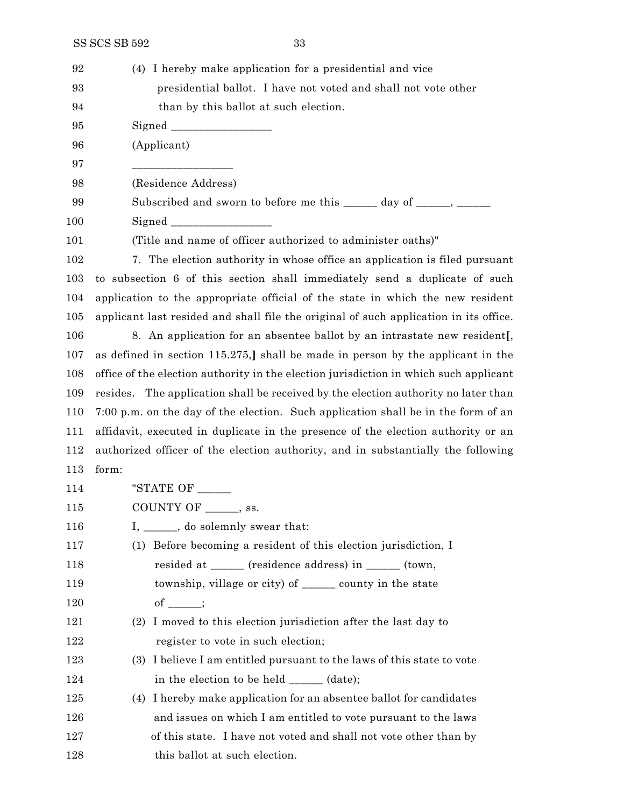| 92  | (4) I hereby make application for a presidential and vice                             |
|-----|---------------------------------------------------------------------------------------|
| 93  | presidential ballot. I have not voted and shall not vote other                        |
| 94  | than by this ballot at such election.                                                 |
| 95  |                                                                                       |
| 96  | (Applicant)                                                                           |
| 97  |                                                                                       |
| 98  | (Residence Address)                                                                   |
| 99  | Subscribed and sworn to before me this _____ day of ____, _____                       |
| 100 |                                                                                       |
| 101 | (Title and name of officer authorized to administer oaths)"                           |
| 102 | 7. The election authority in whose office an application is filed pursuant            |
| 103 | to subsection 6 of this section shall immediately send a duplicate of such            |
| 104 | application to the appropriate official of the state in which the new resident        |
| 105 | applicant last resided and shall file the original of such application in its office. |
| 106 | 8. An application for an absentee ballot by an intrastate new resident[,              |
| 107 | as defined in section 115.275,] shall be made in person by the applicant in the       |
| 108 | office of the election authority in the election jurisdiction in which such applicant |
| 109 | resides. The application shall be received by the election authority no later than    |
| 110 | 7:00 p.m. on the day of the election. Such application shall be in the form of an     |
| 111 | affidavit, executed in duplicate in the presence of the election authority or an      |
| 112 | authorized officer of the election authority, and in substantially the following      |
| 113 | form:                                                                                 |
| 114 | "STATE OF $\_\_\_\_\_\_\_\_\_\$                                                       |
| 115 | COUNTY OF ______, ss.                                                                 |
| 116 | I, _____, do solemnly swear that:                                                     |
| 117 | Before becoming a resident of this election jurisdiction, I<br>(1)                    |
| 118 | resided at ______ (residence address) in ______ (town,                                |
| 119 | township, village or city) of ________ county in the state                            |
| 120 | of $\_\_$                                                                             |
| 121 | I moved to this election jurisdiction after the last day to<br>(2)                    |
| 122 | register to vote in such election;                                                    |
| 123 | I believe I am entitled pursuant to the laws of this state to vote<br>(3)             |
| 124 | in the election to be held ______ (date);                                             |
| 125 | (4) I hereby make application for an absentee ballot for candidates                   |
| 126 | and issues on which I am entitled to vote pursuant to the laws                        |
| 127 | of this state. I have not voted and shall not vote other than by                      |
| 128 | this ballot at such election.                                                         |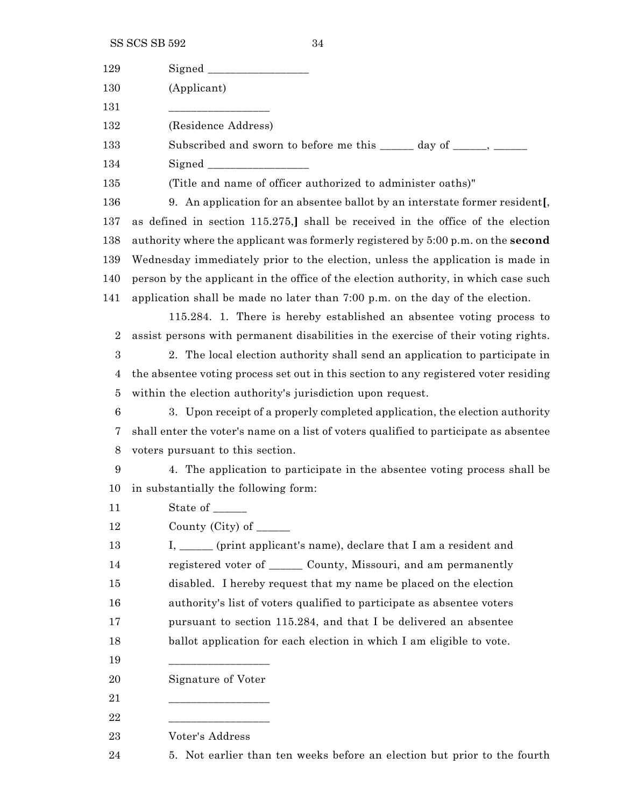SS SCS SB 592 34

| 129              |                                                                                       |
|------------------|---------------------------------------------------------------------------------------|
| 130              | (Applicant)                                                                           |
| 131              |                                                                                       |
| 132              | (Residence Address)                                                                   |
| 133              | Subscribed and sworn to before me this ______ day of _____, ______                    |
| 134              |                                                                                       |
| 135              | (Title and name of officer authorized to administer oaths)"                           |
| 136              | 9. An application for an absentee ballot by an interstate former resident.            |
| 137              | as defined in section 115.275,] shall be received in the office of the election       |
| 138              | authority where the applicant was formerly registered by 5:00 p.m. on the second      |
| 139              | Wednesday immediately prior to the election, unless the application is made in        |
| 140              | person by the applicant in the office of the election authority, in which case such   |
| 141              | application shall be made no later than 7:00 p.m. on the day of the election.         |
|                  | 115.284. 1. There is hereby established an absentee voting process to                 |
| $\boldsymbol{2}$ | assist persons with permanent disabilities in the exercise of their voting rights.    |
| $\boldsymbol{3}$ | 2. The local election authority shall send an application to participate in           |
| $\overline{4}$   | the absentee voting process set out in this section to any registered voter residing  |
| $\bf 5$          | within the election authority's jurisdiction upon request.                            |
| $\,6$            | 3. Upon receipt of a properly completed application, the election authority           |
| 7                | shall enter the voter's name on a list of voters qualified to participate as absentee |
| 8                | voters pursuant to this section.                                                      |
| 9                | 4. The application to participate in the absentee voting process shall be             |
| 10               | in substantially the following form:                                                  |
| 11               | State of _______                                                                      |
| 12               | County (City) of $\_\_\_\_\_\_\_\_\_\_\_\_\_\_\_\_\_\_\_\_\_\_\_\_\_\_\_\_\_\_\_\_$   |
| 13               | I, _____ (print applicant's name), declare that I am a resident and                   |
| 14               | registered voter of _______ County, Missouri, and am permanently                      |
| 15               | disabled. I hereby request that my name be placed on the election                     |
| 16               | authority's list of voters qualified to participate as absentee voters                |
| 17               | pursuant to section 115.284, and that I be delivered an absentee                      |
| 18               | ballot application for each election in which I am eligible to vote.                  |
| 19               |                                                                                       |
| 20               | Signature of Voter                                                                    |
| 21               |                                                                                       |
| 22               |                                                                                       |
| 23               | Voter's Address                                                                       |
| 24               | 5. Not earlier than ten weeks before an election but prior to the fourth              |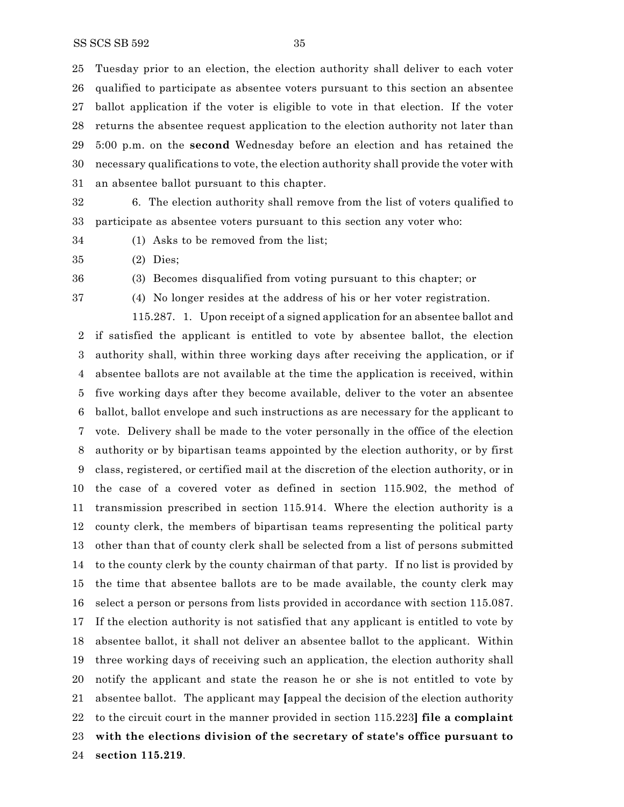Tuesday prior to an election, the election authority shall deliver to each voter qualified to participate as absentee voters pursuant to this section an absentee ballot application if the voter is eligible to vote in that election. If the voter returns the absentee request application to the election authority not later than 5:00 p.m. on the **second** Wednesday before an election and has retained the necessary qualifications to vote, the election authority shall provide the voter with an absentee ballot pursuant to this chapter.

 6. The election authority shall remove from the list of voters qualified to participate as absentee voters pursuant to this section any voter who:

- 
- (1) Asks to be removed from the list;
- (2) Dies;
- 

(3) Becomes disqualified from voting pursuant to this chapter; or

(4) No longer resides at the address of his or her voter registration.

115.287. 1. Upon receipt of a signed application for an absentee ballot and if satisfied the applicant is entitled to vote by absentee ballot, the election authority shall, within three working days after receiving the application, or if absentee ballots are not available at the time the application is received, within five working days after they become available, deliver to the voter an absentee ballot, ballot envelope and such instructions as are necessary for the applicant to vote. Delivery shall be made to the voter personally in the office of the election authority or by bipartisan teams appointed by the election authority, or by first

 class, registered, or certified mail at the discretion of the election authority, or in the case of a covered voter as defined in section 115.902, the method of transmission prescribed in section 115.914. Where the election authority is a county clerk, the members of bipartisan teams representing the political party other than that of county clerk shall be selected from a list of persons submitted to the county clerk by the county chairman of that party. If no list is provided by the time that absentee ballots are to be made available, the county clerk may

 select a person or persons from lists provided in accordance with section 115.087. If the election authority is not satisfied that any applicant is entitled to vote by absentee ballot, it shall not deliver an absentee ballot to the applicant. Within three working days of receiving such an application, the election authority shall notify the applicant and state the reason he or she is not entitled to vote by absentee ballot. The applicant may **[**appeal the decision of the election authority to the circuit court in the manner provided in section 115.223**] file a complaint with the elections division of the secretary of state's office pursuant to section 115.219**.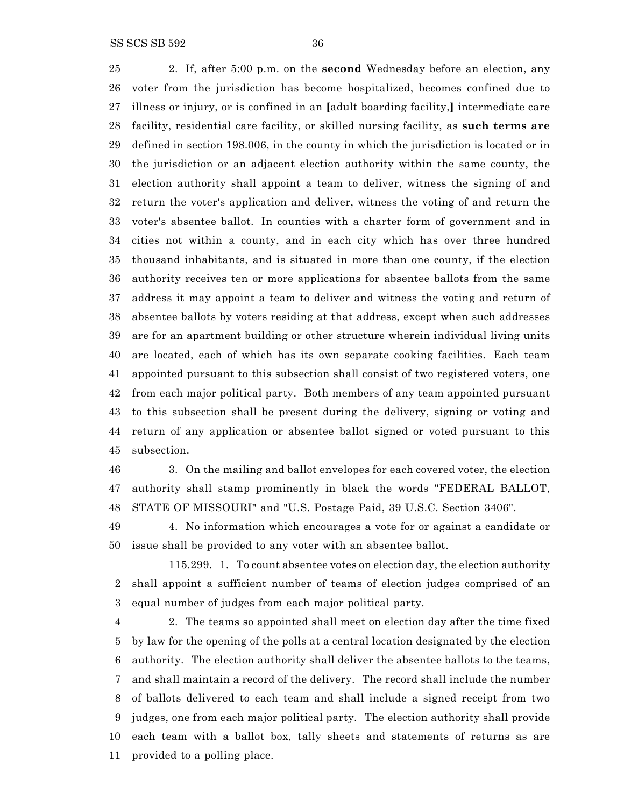2. If, after 5:00 p.m. on the **second** Wednesday before an election, any voter from the jurisdiction has become hospitalized, becomes confined due to illness or injury, or is confined in an **[**adult boarding facility,**]** intermediate care facility, residential care facility, or skilled nursing facility, as **such terms are** defined in section 198.006, in the county in which the jurisdiction is located or in the jurisdiction or an adjacent election authority within the same county, the election authority shall appoint a team to deliver, witness the signing of and return the voter's application and deliver, witness the voting of and return the voter's absentee ballot. In counties with a charter form of government and in cities not within a county, and in each city which has over three hundred thousand inhabitants, and is situated in more than one county, if the election authority receives ten or more applications for absentee ballots from the same address it may appoint a team to deliver and witness the voting and return of absentee ballots by voters residing at that address, except when such addresses are for an apartment building or other structure wherein individual living units are located, each of which has its own separate cooking facilities. Each team appointed pursuant to this subsection shall consist of two registered voters, one from each major political party. Both members of any team appointed pursuant to this subsection shall be present during the delivery, signing or voting and return of any application or absentee ballot signed or voted pursuant to this subsection.

 3. On the mailing and ballot envelopes for each covered voter, the election authority shall stamp prominently in black the words "FEDERAL BALLOT, STATE OF MISSOURI" and "U.S. Postage Paid, 39 U.S.C. Section 3406".

 4. No information which encourages a vote for or against a candidate or issue shall be provided to any voter with an absentee ballot.

115.299. 1. To count absentee votes on election day, the election authority shall appoint a sufficient number of teams of election judges comprised of an equal number of judges from each major political party.

 2. The teams so appointed shall meet on election day after the time fixed by law for the opening of the polls at a central location designated by the election authority. The election authority shall deliver the absentee ballots to the teams, and shall maintain a record of the delivery. The record shall include the number of ballots delivered to each team and shall include a signed receipt from two judges, one from each major political party. The election authority shall provide each team with a ballot box, tally sheets and statements of returns as are provided to a polling place.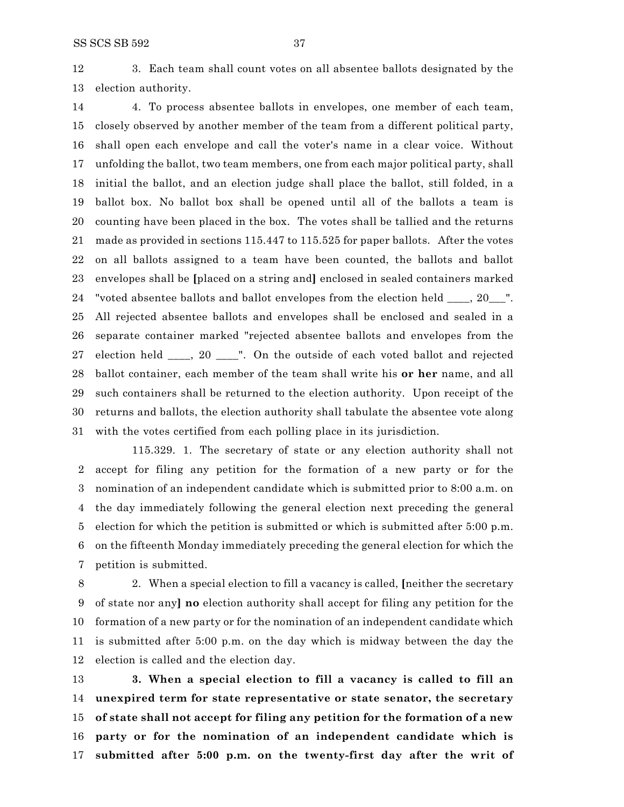3. Each team shall count votes on all absentee ballots designated by the election authority.

 4. To process absentee ballots in envelopes, one member of each team, closely observed by another member of the team from a different political party, shall open each envelope and call the voter's name in a clear voice. Without unfolding the ballot, two team members, one from each major political party, shall initial the ballot, and an election judge shall place the ballot, still folded, in a ballot box. No ballot box shall be opened until all of the ballots a team is counting have been placed in the box. The votes shall be tallied and the returns made as provided in sections 115.447 to 115.525 for paper ballots. After the votes on all ballots assigned to a team have been counted, the ballots and ballot envelopes shall be **[**placed on a string and**]** enclosed in sealed containers marked "voted absentee ballots and ballot envelopes from the election held \_\_\_\_, 20\_\_\_". All rejected absentee ballots and envelopes shall be enclosed and sealed in a separate container marked "rejected absentee ballots and envelopes from the election held \_\_\_\_, 20 \_\_\_\_". On the outside of each voted ballot and rejected ballot container, each member of the team shall write his **or her** name, and all such containers shall be returned to the election authority. Upon receipt of the returns and ballots, the election authority shall tabulate the absentee vote along with the votes certified from each polling place in its jurisdiction.

115.329. 1. The secretary of state or any election authority shall not accept for filing any petition for the formation of a new party or for the nomination of an independent candidate which is submitted prior to 8:00 a.m. on the day immediately following the general election next preceding the general election for which the petition is submitted or which is submitted after 5:00 p.m. on the fifteenth Monday immediately preceding the general election for which the petition is submitted.

 2. When a special election to fill a vacancy is called, **[**neither the secretary of state nor any**] no** election authority shall accept for filing any petition for the formation of a new party or for the nomination of an independent candidate which is submitted after 5:00 p.m. on the day which is midway between the day the election is called and the election day.

 **3. When a special election to fill a vacancy is called to fill an unexpired term for state representative or state senator, the secretary of state shall not accept for filing any petition for the formation of a new party or for the nomination of an independent candidate which is submitted after 5:00 p.m. on the twenty-first day after the writ of**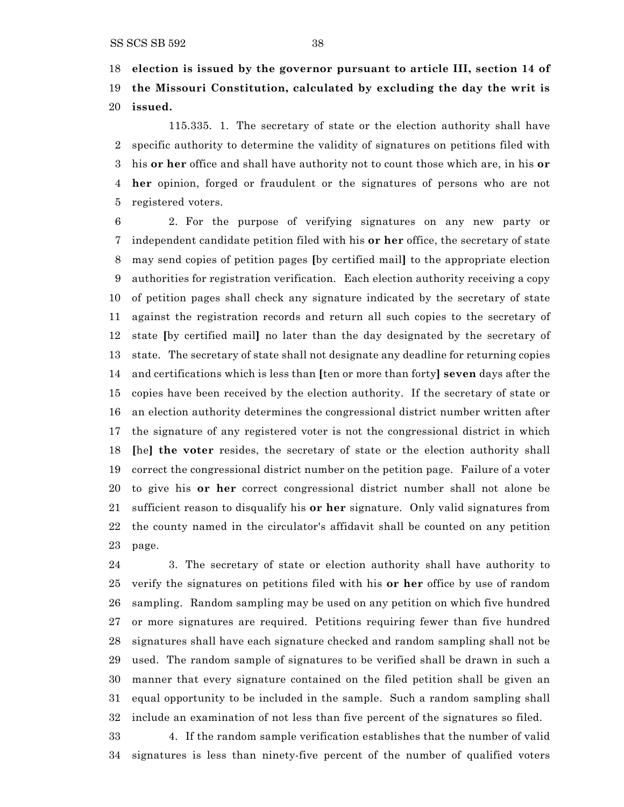**election is issued by the governor pursuant to article III, section 14 of**

 **the Missouri Constitution, calculated by excluding the day the writ is issued.**

115.335. 1. The secretary of state or the election authority shall have specific authority to determine the validity of signatures on petitions filed with his **or her** office and shall have authority not to count those which are, in his **or her** opinion, forged or fraudulent or the signatures of persons who are not registered voters.

 2. For the purpose of verifying signatures on any new party or independent candidate petition filed with his **or her** office, the secretary of state may send copies of petition pages **[**by certified mail**]** to the appropriate election authorities for registration verification. Each election authority receiving a copy of petition pages shall check any signature indicated by the secretary of state against the registration records and return all such copies to the secretary of state **[**by certified mail**]** no later than the day designated by the secretary of state. The secretary of state shall not designate any deadline for returning copies and certifications which is less than **[**ten or more than forty**] seven** days after the copies have been received by the election authority. If the secretary of state or an election authority determines the congressional district number written after the signature of any registered voter is not the congressional district in which **[**he**] the voter** resides, the secretary of state or the election authority shall correct the congressional district number on the petition page. Failure of a voter to give his **or her** correct congressional district number shall not alone be sufficient reason to disqualify his **or her** signature. Only valid signatures from the county named in the circulator's affidavit shall be counted on any petition page.

 3. The secretary of state or election authority shall have authority to verify the signatures on petitions filed with his **or her** office by use of random sampling. Random sampling may be used on any petition on which five hundred or more signatures are required. Petitions requiring fewer than five hundred signatures shall have each signature checked and random sampling shall not be used. The random sample of signatures to be verified shall be drawn in such a manner that every signature contained on the filed petition shall be given an equal opportunity to be included in the sample. Such a random sampling shall include an examination of not less than five percent of the signatures so filed.

 4. If the random sample verification establishes that the number of valid signatures is less than ninety-five percent of the number of qualified voters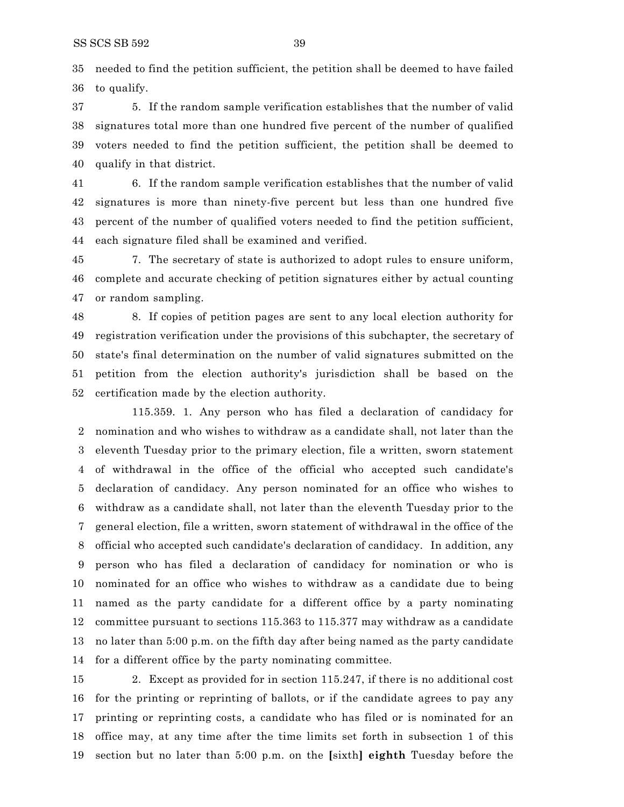needed to find the petition sufficient, the petition shall be deemed to have failed to qualify.

 5. If the random sample verification establishes that the number of valid signatures total more than one hundred five percent of the number of qualified voters needed to find the petition sufficient, the petition shall be deemed to qualify in that district.

 6. If the random sample verification establishes that the number of valid signatures is more than ninety-five percent but less than one hundred five percent of the number of qualified voters needed to find the petition sufficient, each signature filed shall be examined and verified.

 7. The secretary of state is authorized to adopt rules to ensure uniform, complete and accurate checking of petition signatures either by actual counting or random sampling.

 8. If copies of petition pages are sent to any local election authority for registration verification under the provisions of this subchapter, the secretary of state's final determination on the number of valid signatures submitted on the petition from the election authority's jurisdiction shall be based on the certification made by the election authority.

115.359. 1. Any person who has filed a declaration of candidacy for nomination and who wishes to withdraw as a candidate shall, not later than the eleventh Tuesday prior to the primary election, file a written, sworn statement of withdrawal in the office of the official who accepted such candidate's declaration of candidacy. Any person nominated for an office who wishes to withdraw as a candidate shall, not later than the eleventh Tuesday prior to the general election, file a written, sworn statement of withdrawal in the office of the official who accepted such candidate's declaration of candidacy. In addition, any person who has filed a declaration of candidacy for nomination or who is nominated for an office who wishes to withdraw as a candidate due to being named as the party candidate for a different office by a party nominating committee pursuant to sections 115.363 to 115.377 may withdraw as a candidate no later than 5:00 p.m. on the fifth day after being named as the party candidate for a different office by the party nominating committee.

 2. Except as provided for in section 115.247, if there is no additional cost for the printing or reprinting of ballots, or if the candidate agrees to pay any printing or reprinting costs, a candidate who has filed or is nominated for an office may, at any time after the time limits set forth in subsection 1 of this section but no later than 5:00 p.m. on the **[**sixth**] eighth** Tuesday before the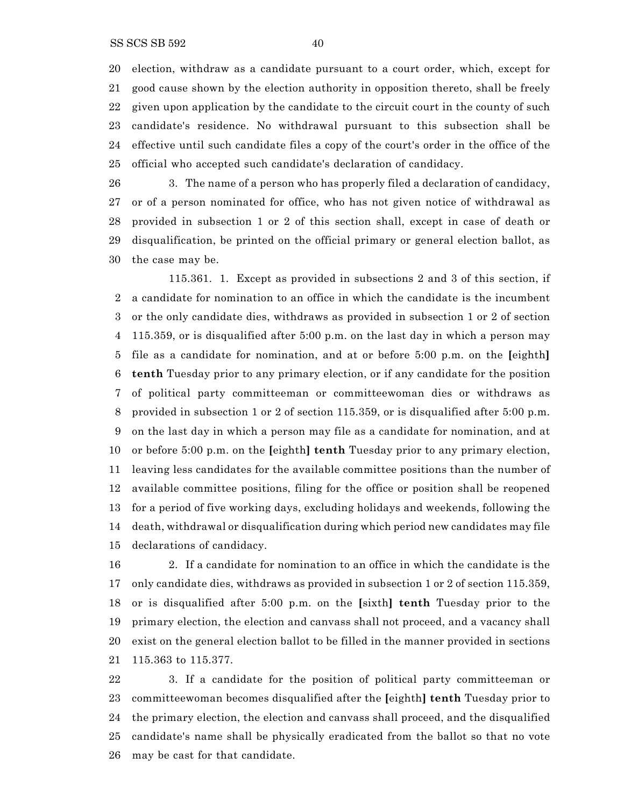election, withdraw as a candidate pursuant to a court order, which, except for good cause shown by the election authority in opposition thereto, shall be freely given upon application by the candidate to the circuit court in the county of such candidate's residence. No withdrawal pursuant to this subsection shall be effective until such candidate files a copy of the court's order in the office of the official who accepted such candidate's declaration of candidacy.

 3. The name of a person who has properly filed a declaration of candidacy, or of a person nominated for office, who has not given notice of withdrawal as provided in subsection 1 or 2 of this section shall, except in case of death or disqualification, be printed on the official primary or general election ballot, as the case may be.

115.361. 1. Except as provided in subsections 2 and 3 of this section, if a candidate for nomination to an office in which the candidate is the incumbent or the only candidate dies, withdraws as provided in subsection 1 or 2 of section 115.359, or is disqualified after 5:00 p.m. on the last day in which a person may file as a candidate for nomination, and at or before 5:00 p.m. on the **[**eighth**] tenth** Tuesday prior to any primary election, or if any candidate for the position of political party committeeman or committeewoman dies or withdraws as provided in subsection 1 or 2 of section 115.359, or is disqualified after 5:00 p.m. on the last day in which a person may file as a candidate for nomination, and at or before 5:00 p.m. on the **[**eighth**] tenth** Tuesday prior to any primary election, leaving less candidates for the available committee positions than the number of available committee positions, filing for the office or position shall be reopened for a period of five working days, excluding holidays and weekends, following the death, withdrawal or disqualification during which period new candidates may file declarations of candidacy.

 2. If a candidate for nomination to an office in which the candidate is the only candidate dies, withdraws as provided in subsection 1 or 2 of section 115.359, or is disqualified after 5:00 p.m. on the **[**sixth**] tenth** Tuesday prior to the primary election, the election and canvass shall not proceed, and a vacancy shall exist on the general election ballot to be filled in the manner provided in sections 115.363 to 115.377.

 3. If a candidate for the position of political party committeeman or committeewoman becomes disqualified after the **[**eighth**] tenth** Tuesday prior to the primary election, the election and canvass shall proceed, and the disqualified candidate's name shall be physically eradicated from the ballot so that no vote may be cast for that candidate.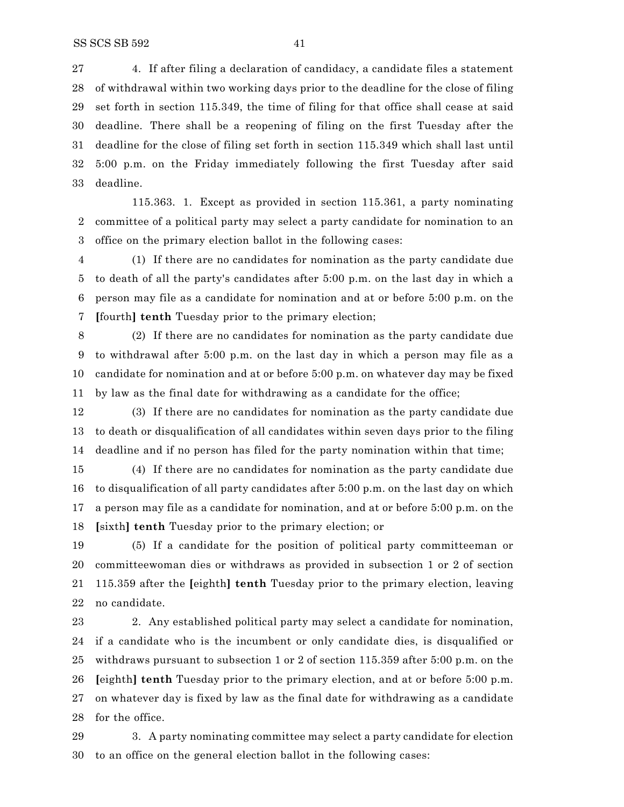4. If after filing a declaration of candidacy, a candidate files a statement of withdrawal within two working days prior to the deadline for the close of filing set forth in section 115.349, the time of filing for that office shall cease at said deadline. There shall be a reopening of filing on the first Tuesday after the deadline for the close of filing set forth in section 115.349 which shall last until 5:00 p.m. on the Friday immediately following the first Tuesday after said deadline.

115.363. 1. Except as provided in section 115.361, a party nominating committee of a political party may select a party candidate for nomination to an office on the primary election ballot in the following cases:

 (1) If there are no candidates for nomination as the party candidate due to death of all the party's candidates after 5:00 p.m. on the last day in which a person may file as a candidate for nomination and at or before 5:00 p.m. on the **[**fourth**] tenth** Tuesday prior to the primary election;

 (2) If there are no candidates for nomination as the party candidate due to withdrawal after 5:00 p.m. on the last day in which a person may file as a candidate for nomination and at or before 5:00 p.m. on whatever day may be fixed by law as the final date for withdrawing as a candidate for the office;

 (3) If there are no candidates for nomination as the party candidate due to death or disqualification of all candidates within seven days prior to the filing deadline and if no person has filed for the party nomination within that time;

 (4) If there are no candidates for nomination as the party candidate due to disqualification of all party candidates after 5:00 p.m. on the last day on which a person may file as a candidate for nomination, and at or before 5:00 p.m. on the **[**sixth**] tenth** Tuesday prior to the primary election; or

 (5) If a candidate for the position of political party committeeman or committeewoman dies or withdraws as provided in subsection 1 or 2 of section 115.359 after the **[**eighth**] tenth** Tuesday prior to the primary election, leaving no candidate.

 2. Any established political party may select a candidate for nomination, if a candidate who is the incumbent or only candidate dies, is disqualified or withdraws pursuant to subsection 1 or 2 of section 115.359 after 5:00 p.m. on the **[**eighth**] tenth** Tuesday prior to the primary election, and at or before 5:00 p.m. on whatever day is fixed by law as the final date for withdrawing as a candidate for the office.

 3. A party nominating committee may select a party candidate for election to an office on the general election ballot in the following cases: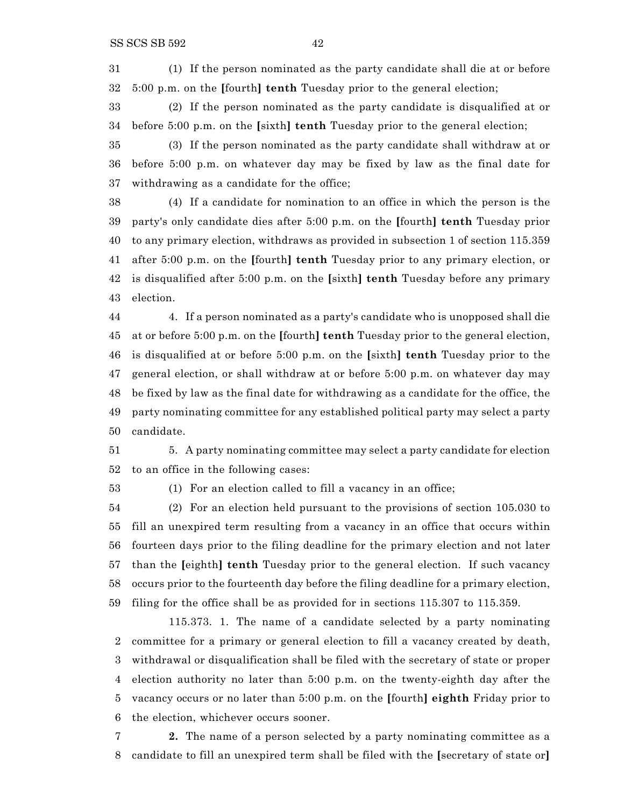(1) If the person nominated as the party candidate shall die at or before 5:00 p.m. on the **[**fourth**] tenth** Tuesday prior to the general election;

 (2) If the person nominated as the party candidate is disqualified at or before 5:00 p.m. on the **[**sixth**] tenth** Tuesday prior to the general election;

 (3) If the person nominated as the party candidate shall withdraw at or before 5:00 p.m. on whatever day may be fixed by law as the final date for withdrawing as a candidate for the office;

 (4) If a candidate for nomination to an office in which the person is the party's only candidate dies after 5:00 p.m. on the **[**fourth**] tenth** Tuesday prior to any primary election, withdraws as provided in subsection 1 of section 115.359 after 5:00 p.m. on the **[**fourth**] tenth** Tuesday prior to any primary election, or is disqualified after 5:00 p.m. on the **[**sixth**] tenth** Tuesday before any primary election.

 4. If a person nominated as a party's candidate who is unopposed shall die at or before 5:00 p.m. on the **[**fourth**] tenth** Tuesday prior to the general election, is disqualified at or before 5:00 p.m. on the **[**sixth**] tenth** Tuesday prior to the general election, or shall withdraw at or before 5:00 p.m. on whatever day may be fixed by law as the final date for withdrawing as a candidate for the office, the party nominating committee for any established political party may select a party candidate.

 5. A party nominating committee may select a party candidate for election to an office in the following cases:

(1) For an election called to fill a vacancy in an office;

 (2) For an election held pursuant to the provisions of section 105.030 to fill an unexpired term resulting from a vacancy in an office that occurs within fourteen days prior to the filing deadline for the primary election and not later than the **[**eighth**] tenth** Tuesday prior to the general election. If such vacancy occurs prior to the fourteenth day before the filing deadline for a primary election, filing for the office shall be as provided for in sections 115.307 to 115.359.

115.373. 1. The name of a candidate selected by a party nominating committee for a primary or general election to fill a vacancy created by death, withdrawal or disqualification shall be filed with the secretary of state or proper election authority no later than 5:00 p.m. on the twenty-eighth day after the vacancy occurs or no later than 5:00 p.m. on the **[**fourth**] eighth** Friday prior to the election, whichever occurs sooner.

 **2.** The name of a person selected by a party nominating committee as a candidate to fill an unexpired term shall be filed with the **[**secretary of state or**]**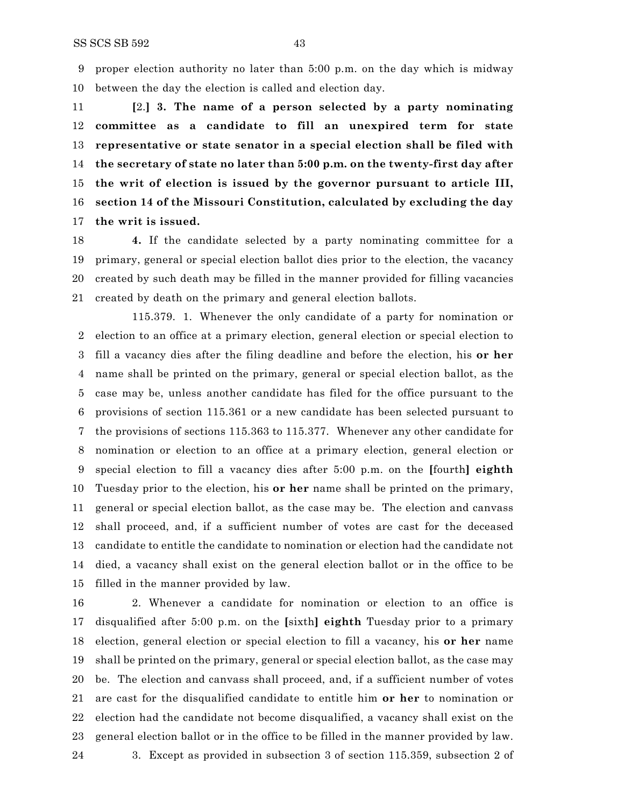proper election authority no later than 5:00 p.m. on the day which is midway between the day the election is called and election day.

 **[**2.**] 3. The name of a person selected by a party nominating committee as a candidate to fill an unexpired term for state representative or state senator in a special election shall be filed with the secretary of state no later than 5:00 p.m. on the twenty-first day after the writ of election is issued by the governor pursuant to article III, section 14 of the Missouri Constitution, calculated by excluding the day the writ is issued.**

 **4.** If the candidate selected by a party nominating committee for a primary, general or special election ballot dies prior to the election, the vacancy created by such death may be filled in the manner provided for filling vacancies created by death on the primary and general election ballots.

115.379. 1. Whenever the only candidate of a party for nomination or election to an office at a primary election, general election or special election to fill a vacancy dies after the filing deadline and before the election, his **or her** name shall be printed on the primary, general or special election ballot, as the case may be, unless another candidate has filed for the office pursuant to the provisions of section 115.361 or a new candidate has been selected pursuant to the provisions of sections 115.363 to 115.377. Whenever any other candidate for nomination or election to an office at a primary election, general election or special election to fill a vacancy dies after 5:00 p.m. on the **[**fourth**] eighth** Tuesday prior to the election, his **or her** name shall be printed on the primary, general or special election ballot, as the case may be. The election and canvass shall proceed, and, if a sufficient number of votes are cast for the deceased candidate to entitle the candidate to nomination or election had the candidate not died, a vacancy shall exist on the general election ballot or in the office to be filled in the manner provided by law.

 2. Whenever a candidate for nomination or election to an office is disqualified after 5:00 p.m. on the **[**sixth**] eighth** Tuesday prior to a primary election, general election or special election to fill a vacancy, his **or her** name shall be printed on the primary, general or special election ballot, as the case may be. The election and canvass shall proceed, and, if a sufficient number of votes are cast for the disqualified candidate to entitle him **or her** to nomination or election had the candidate not become disqualified, a vacancy shall exist on the general election ballot or in the office to be filled in the manner provided by law. 3. Except as provided in subsection 3 of section 115.359, subsection 2 of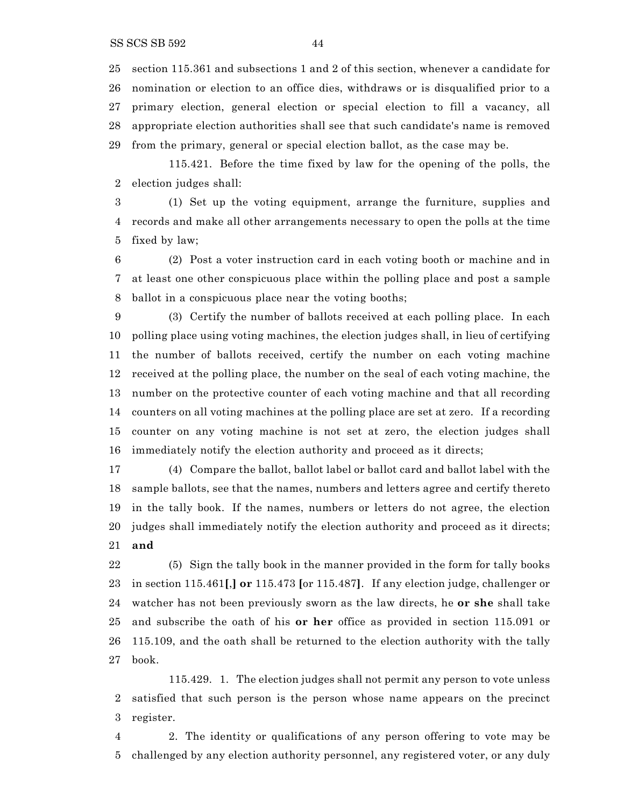section 115.361 and subsections 1 and 2 of this section, whenever a candidate for nomination or election to an office dies, withdraws or is disqualified prior to a primary election, general election or special election to fill a vacancy, all appropriate election authorities shall see that such candidate's name is removed from the primary, general or special election ballot, as the case may be.

115.421. Before the time fixed by law for the opening of the polls, the election judges shall:

 (1) Set up the voting equipment, arrange the furniture, supplies and records and make all other arrangements necessary to open the polls at the time fixed by law;

 (2) Post a voter instruction card in each voting booth or machine and in at least one other conspicuous place within the polling place and post a sample ballot in a conspicuous place near the voting booths;

 (3) Certify the number of ballots received at each polling place. In each polling place using voting machines, the election judges shall, in lieu of certifying the number of ballots received, certify the number on each voting machine received at the polling place, the number on the seal of each voting machine, the number on the protective counter of each voting machine and that all recording counters on all voting machines at the polling place are set at zero. If a recording counter on any voting machine is not set at zero, the election judges shall immediately notify the election authority and proceed as it directs;

 (4) Compare the ballot, ballot label or ballot card and ballot label with the sample ballots, see that the names, numbers and letters agree and certify thereto in the tally book. If the names, numbers or letters do not agree, the election judges shall immediately notify the election authority and proceed as it directs; **and**

 (5) Sign the tally book in the manner provided in the form for tally books in section 115.461**[**,**] or** 115.473 **[**or 115.487**]**. If any election judge, challenger or watcher has not been previously sworn as the law directs, he **or she** shall take and subscribe the oath of his **or her** office as provided in section 115.091 or 115.109, and the oath shall be returned to the election authority with the tally book.

115.429. 1. The election judges shall not permit any person to vote unless satisfied that such person is the person whose name appears on the precinct register.

 2. The identity or qualifications of any person offering to vote may be challenged by any election authority personnel, any registered voter, or any duly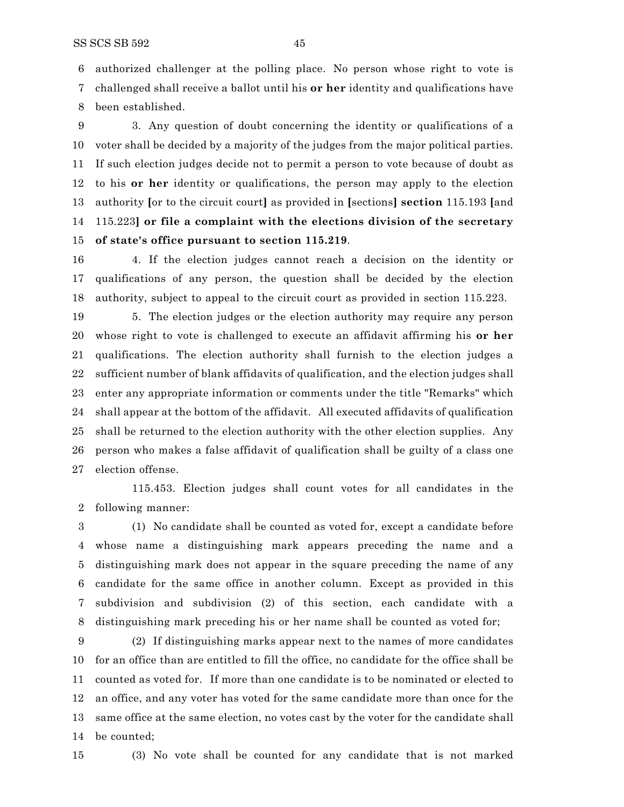authorized challenger at the polling place. No person whose right to vote is challenged shall receive a ballot until his **or her** identity and qualifications have

been established.

 3. Any question of doubt concerning the identity or qualifications of a voter shall be decided by a majority of the judges from the major political parties. If such election judges decide not to permit a person to vote because of doubt as to his **or her** identity or qualifications, the person may apply to the election authority **[**or to the circuit court**]** as provided in **[**sections**] section** 115.193 **[**and 115.223**] or file a complaint with the elections division of the secretary of state's office pursuant to section 115.219**.

 4. If the election judges cannot reach a decision on the identity or qualifications of any person, the question shall be decided by the election authority, subject to appeal to the circuit court as provided in section 115.223.

 5. The election judges or the election authority may require any person whose right to vote is challenged to execute an affidavit affirming his **or her** qualifications. The election authority shall furnish to the election judges a sufficient number of blank affidavits of qualification, and the election judges shall enter any appropriate information or comments under the title "Remarks" which shall appear at the bottom of the affidavit. All executed affidavits of qualification shall be returned to the election authority with the other election supplies. Any person who makes a false affidavit of qualification shall be guilty of a class one election offense.

115.453. Election judges shall count votes for all candidates in the following manner:

 (1) No candidate shall be counted as voted for, except a candidate before whose name a distinguishing mark appears preceding the name and a distinguishing mark does not appear in the square preceding the name of any candidate for the same office in another column. Except as provided in this subdivision and subdivision (2) of this section, each candidate with a distinguishing mark preceding his or her name shall be counted as voted for;

 (2) If distinguishing marks appear next to the names of more candidates for an office than are entitled to fill the office, no candidate for the office shall be counted as voted for. If more than one candidate is to be nominated or elected to an office, and any voter has voted for the same candidate more than once for the same office at the same election, no votes cast by the voter for the candidate shall be counted;

(3) No vote shall be counted for any candidate that is not marked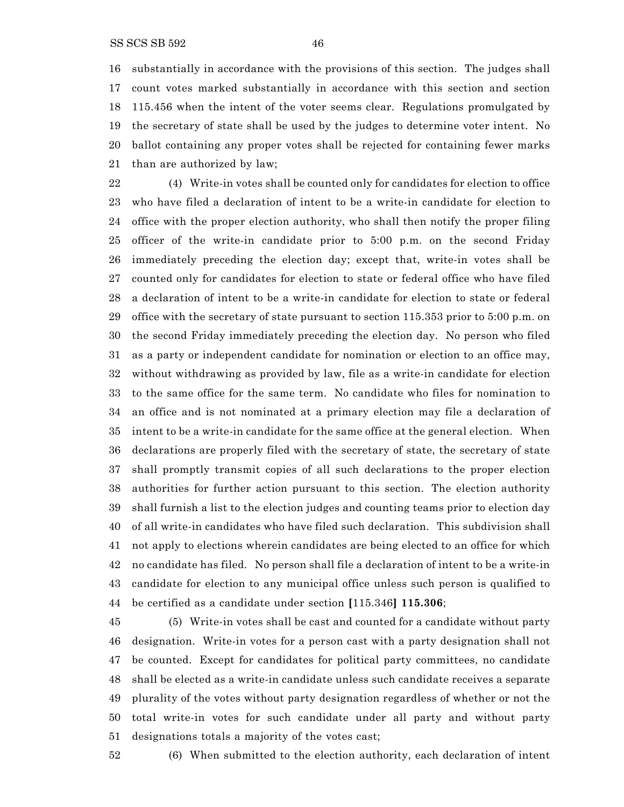substantially in accordance with the provisions of this section. The judges shall count votes marked substantially in accordance with this section and section 115.456 when the intent of the voter seems clear. Regulations promulgated by the secretary of state shall be used by the judges to determine voter intent. No ballot containing any proper votes shall be rejected for containing fewer marks than are authorized by law;

 (4) Write-in votes shall be counted only for candidates for election to office who have filed a declaration of intent to be a write-in candidate for election to office with the proper election authority, who shall then notify the proper filing officer of the write-in candidate prior to 5:00 p.m. on the second Friday immediately preceding the election day; except that, write-in votes shall be counted only for candidates for election to state or federal office who have filed a declaration of intent to be a write-in candidate for election to state or federal office with the secretary of state pursuant to section 115.353 prior to 5:00 p.m. on the second Friday immediately preceding the election day. No person who filed as a party or independent candidate for nomination or election to an office may, without withdrawing as provided by law, file as a write-in candidate for election to the same office for the same term. No candidate who files for nomination to an office and is not nominated at a primary election may file a declaration of intent to be a write-in candidate for the same office at the general election. When declarations are properly filed with the secretary of state, the secretary of state shall promptly transmit copies of all such declarations to the proper election authorities for further action pursuant to this section. The election authority shall furnish a list to the election judges and counting teams prior to election day of all write-in candidates who have filed such declaration. This subdivision shall not apply to elections wherein candidates are being elected to an office for which no candidate has filed. No person shall file a declaration of intent to be a write-in candidate for election to any municipal office unless such person is qualified to be certified as a candidate under section **[**115.346**] 115.306**;

 (5) Write-in votes shall be cast and counted for a candidate without party designation. Write-in votes for a person cast with a party designation shall not be counted. Except for candidates for political party committees, no candidate shall be elected as a write-in candidate unless such candidate receives a separate plurality of the votes without party designation regardless of whether or not the total write-in votes for such candidate under all party and without party designations totals a majority of the votes cast;



(6) When submitted to the election authority, each declaration of intent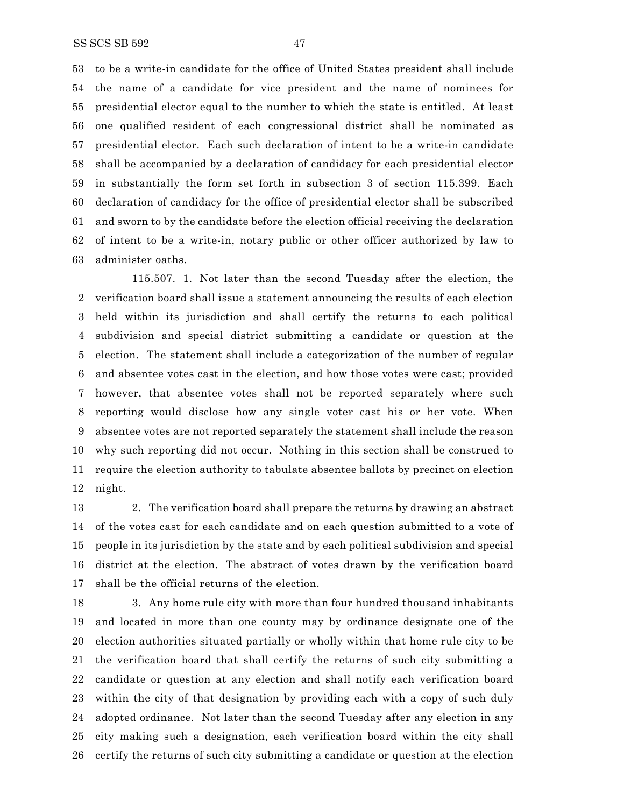to be a write-in candidate for the office of United States president shall include the name of a candidate for vice president and the name of nominees for presidential elector equal to the number to which the state is entitled. At least one qualified resident of each congressional district shall be nominated as presidential elector. Each such declaration of intent to be a write-in candidate shall be accompanied by a declaration of candidacy for each presidential elector in substantially the form set forth in subsection 3 of section 115.399. Each declaration of candidacy for the office of presidential elector shall be subscribed and sworn to by the candidate before the election official receiving the declaration of intent to be a write-in, notary public or other officer authorized by law to administer oaths.

115.507. 1. Not later than the second Tuesday after the election, the verification board shall issue a statement announcing the results of each election held within its jurisdiction and shall certify the returns to each political subdivision and special district submitting a candidate or question at the election. The statement shall include a categorization of the number of regular and absentee votes cast in the election, and how those votes were cast; provided however, that absentee votes shall not be reported separately where such reporting would disclose how any single voter cast his or her vote. When absentee votes are not reported separately the statement shall include the reason why such reporting did not occur. Nothing in this section shall be construed to require the election authority to tabulate absentee ballots by precinct on election night.

 2. The verification board shall prepare the returns by drawing an abstract of the votes cast for each candidate and on each question submitted to a vote of people in its jurisdiction by the state and by each political subdivision and special district at the election. The abstract of votes drawn by the verification board shall be the official returns of the election.

 3. Any home rule city with more than four hundred thousand inhabitants and located in more than one county may by ordinance designate one of the election authorities situated partially or wholly within that home rule city to be the verification board that shall certify the returns of such city submitting a candidate or question at any election and shall notify each verification board within the city of that designation by providing each with a copy of such duly adopted ordinance. Not later than the second Tuesday after any election in any city making such a designation, each verification board within the city shall certify the returns of such city submitting a candidate or question at the election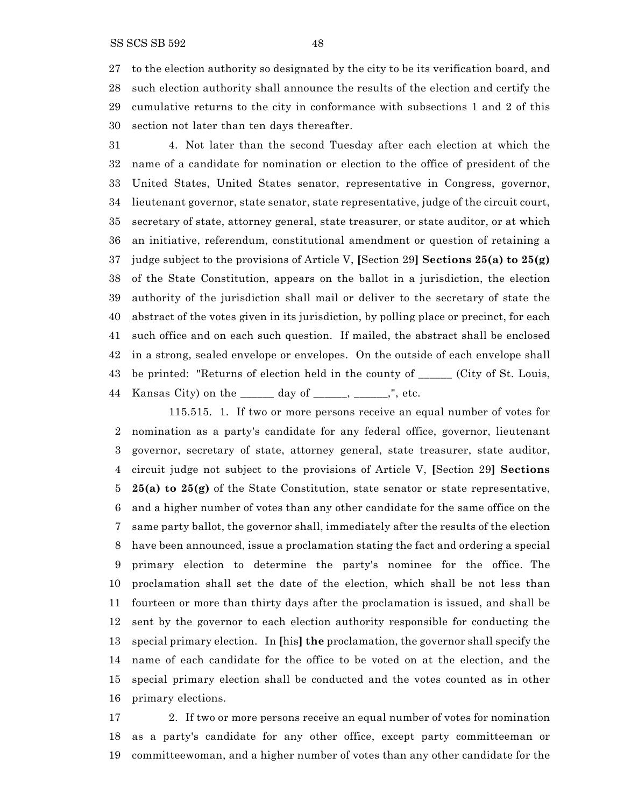SS SCS SB 592 48

 to the election authority so designated by the city to be its verification board, and such election authority shall announce the results of the election and certify the cumulative returns to the city in conformance with subsections 1 and 2 of this section not later than ten days thereafter.

 4. Not later than the second Tuesday after each election at which the name of a candidate for nomination or election to the office of president of the United States, United States senator, representative in Congress, governor, lieutenant governor, state senator, state representative, judge of the circuit court, secretary of state, attorney general, state treasurer, or state auditor, or at which an initiative, referendum, constitutional amendment or question of retaining a judge subject to the provisions of Article V, **[**Section 29**] Sections 25(a) to 25(g)** of the State Constitution, appears on the ballot in a jurisdiction, the election authority of the jurisdiction shall mail or deliver to the secretary of state the abstract of the votes given in its jurisdiction, by polling place or precinct, for each such office and on each such question. If mailed, the abstract shall be enclosed in a strong, sealed envelope or envelopes. On the outside of each envelope shall be printed: "Returns of election held in the county of \_\_\_\_\_\_ (City of St. Louis, 44 Kansas City) on the \_\_\_\_\_\_ day of \_\_\_\_\_, \_\_\_\_\_,", etc.

115.515. 1. If two or more persons receive an equal number of votes for nomination as a party's candidate for any federal office, governor, lieutenant governor, secretary of state, attorney general, state treasurer, state auditor, circuit judge not subject to the provisions of Article V, **[**Section 29**] Sections 25(a) to 25(g)** of the State Constitution, state senator or state representative, and a higher number of votes than any other candidate for the same office on the same party ballot, the governor shall, immediately after the results of the election have been announced, issue a proclamation stating the fact and ordering a special primary election to determine the party's nominee for the office. The proclamation shall set the date of the election, which shall be not less than fourteen or more than thirty days after the proclamation is issued, and shall be sent by the governor to each election authority responsible for conducting the special primary election. In **[**his**] the** proclamation, the governor shall specify the name of each candidate for the office to be voted on at the election, and the special primary election shall be conducted and the votes counted as in other primary elections.

 2. If two or more persons receive an equal number of votes for nomination as a party's candidate for any other office, except party committeeman or committeewoman, and a higher number of votes than any other candidate for the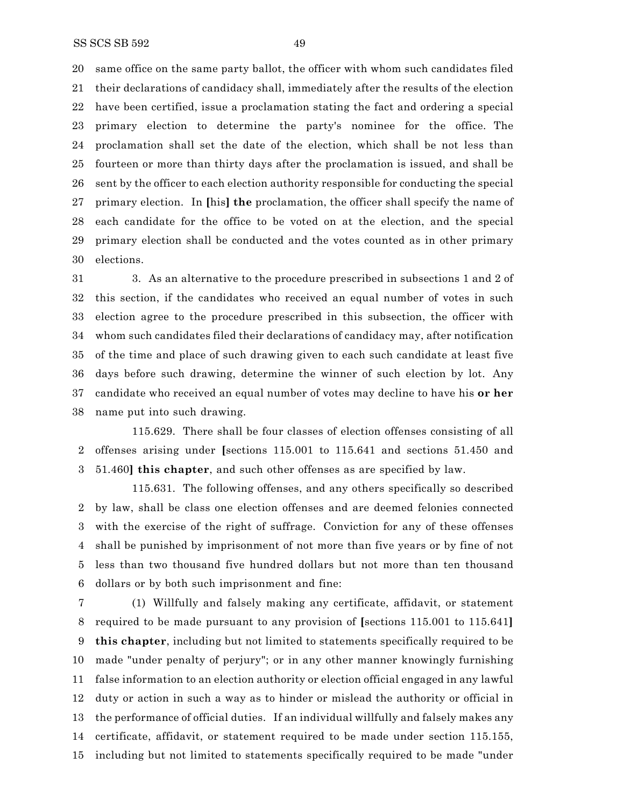same office on the same party ballot, the officer with whom such candidates filed their declarations of candidacy shall, immediately after the results of the election have been certified, issue a proclamation stating the fact and ordering a special primary election to determine the party's nominee for the office. The proclamation shall set the date of the election, which shall be not less than fourteen or more than thirty days after the proclamation is issued, and shall be sent by the officer to each election authority responsible for conducting the special primary election. In **[**his**] the** proclamation, the officer shall specify the name of each candidate for the office to be voted on at the election, and the special primary election shall be conducted and the votes counted as in other primary elections.

 3. As an alternative to the procedure prescribed in subsections 1 and 2 of this section, if the candidates who received an equal number of votes in such election agree to the procedure prescribed in this subsection, the officer with whom such candidates filed their declarations of candidacy may, after notification of the time and place of such drawing given to each such candidate at least five days before such drawing, determine the winner of such election by lot. Any candidate who received an equal number of votes may decline to have his **or her** name put into such drawing.

115.629. There shall be four classes of election offenses consisting of all offenses arising under **[**sections 115.001 to 115.641 and sections 51.450 and 51.460**] this chapter**, and such other offenses as are specified by law.

115.631. The following offenses, and any others specifically so described by law, shall be class one election offenses and are deemed felonies connected with the exercise of the right of suffrage. Conviction for any of these offenses shall be punished by imprisonment of not more than five years or by fine of not less than two thousand five hundred dollars but not more than ten thousand dollars or by both such imprisonment and fine:

 (1) Willfully and falsely making any certificate, affidavit, or statement required to be made pursuant to any provision of **[**sections 115.001 to 115.641**] this chapter**, including but not limited to statements specifically required to be made "under penalty of perjury"; or in any other manner knowingly furnishing false information to an election authority or election official engaged in any lawful duty or action in such a way as to hinder or mislead the authority or official in the performance of official duties. If an individual willfully and falsely makes any certificate, affidavit, or statement required to be made under section 115.155, including but not limited to statements specifically required to be made "under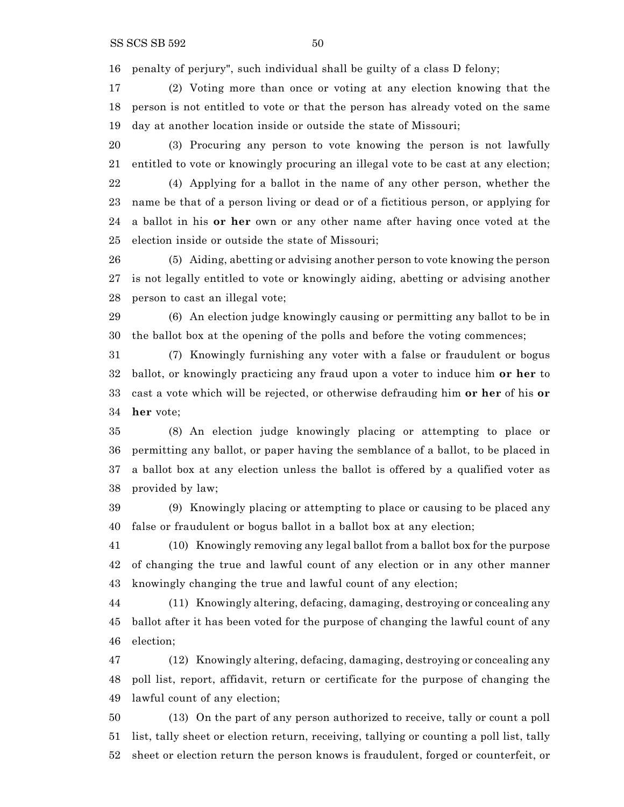penalty of perjury", such individual shall be guilty of a class D felony;

 (2) Voting more than once or voting at any election knowing that the person is not entitled to vote or that the person has already voted on the same day at another location inside or outside the state of Missouri;

 (3) Procuring any person to vote knowing the person is not lawfully entitled to vote or knowingly procuring an illegal vote to be cast at any election; (4) Applying for a ballot in the name of any other person, whether the name be that of a person living or dead or of a fictitious person, or applying for

 a ballot in his **or her** own or any other name after having once voted at the election inside or outside the state of Missouri;

 (5) Aiding, abetting or advising another person to vote knowing the person is not legally entitled to vote or knowingly aiding, abetting or advising another person to cast an illegal vote;

 (6) An election judge knowingly causing or permitting any ballot to be in the ballot box at the opening of the polls and before the voting commences;

 (7) Knowingly furnishing any voter with a false or fraudulent or bogus ballot, or knowingly practicing any fraud upon a voter to induce him **or her** to cast a vote which will be rejected, or otherwise defrauding him **or her** of his **or her** vote;

 (8) An election judge knowingly placing or attempting to place or permitting any ballot, or paper having the semblance of a ballot, to be placed in a ballot box at any election unless the ballot is offered by a qualified voter as provided by law;

 (9) Knowingly placing or attempting to place or causing to be placed any false or fraudulent or bogus ballot in a ballot box at any election;

 (10) Knowingly removing any legal ballot from a ballot box for the purpose of changing the true and lawful count of any election or in any other manner knowingly changing the true and lawful count of any election;

 (11) Knowingly altering, defacing, damaging, destroying or concealing any ballot after it has been voted for the purpose of changing the lawful count of any election;

 (12) Knowingly altering, defacing, damaging, destroying or concealing any poll list, report, affidavit, return or certificate for the purpose of changing the lawful count of any election;

 (13) On the part of any person authorized to receive, tally or count a poll list, tally sheet or election return, receiving, tallying or counting a poll list, tally sheet or election return the person knows is fraudulent, forged or counterfeit, or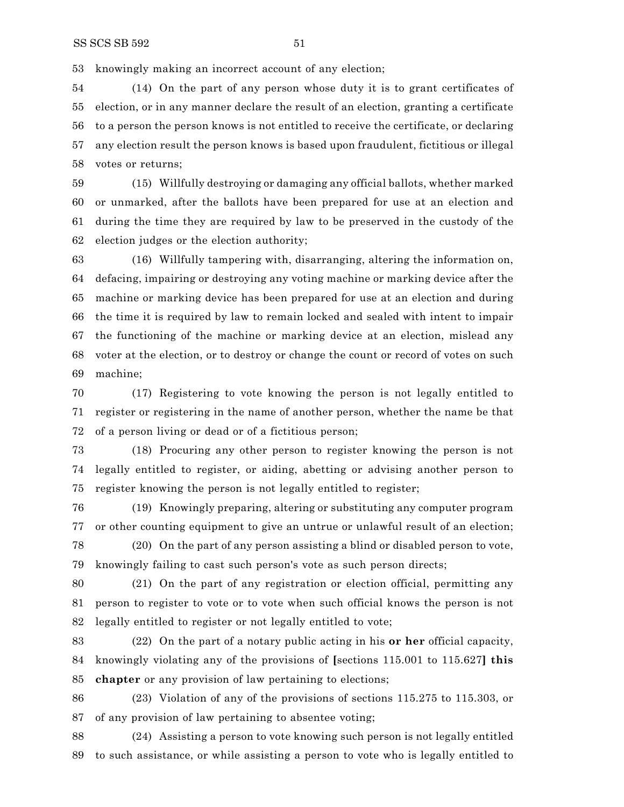knowingly making an incorrect account of any election;

 (14) On the part of any person whose duty it is to grant certificates of election, or in any manner declare the result of an election, granting a certificate to a person the person knows is not entitled to receive the certificate, or declaring any election result the person knows is based upon fraudulent, fictitious or illegal votes or returns;

 (15) Willfully destroying or damaging any official ballots, whether marked or unmarked, after the ballots have been prepared for use at an election and during the time they are required by law to be preserved in the custody of the election judges or the election authority;

 (16) Willfully tampering with, disarranging, altering the information on, defacing, impairing or destroying any voting machine or marking device after the machine or marking device has been prepared for use at an election and during the time it is required by law to remain locked and sealed with intent to impair the functioning of the machine or marking device at an election, mislead any voter at the election, or to destroy or change the count or record of votes on such machine;

 (17) Registering to vote knowing the person is not legally entitled to register or registering in the name of another person, whether the name be that of a person living or dead or of a fictitious person;

 (18) Procuring any other person to register knowing the person is not legally entitled to register, or aiding, abetting or advising another person to register knowing the person is not legally entitled to register;

 (19) Knowingly preparing, altering or substituting any computer program or other counting equipment to give an untrue or unlawful result of an election;

 (20) On the part of any person assisting a blind or disabled person to vote, knowingly failing to cast such person's vote as such person directs;

 (21) On the part of any registration or election official, permitting any person to register to vote or to vote when such official knows the person is not legally entitled to register or not legally entitled to vote;

 (22) On the part of a notary public acting in his **or her** official capacity, knowingly violating any of the provisions of **[**sections 115.001 to 115.627**] this chapter** or any provision of law pertaining to elections;

 (23) Violation of any of the provisions of sections 115.275 to 115.303, or of any provision of law pertaining to absentee voting;

 (24) Assisting a person to vote knowing such person is not legally entitled to such assistance, or while assisting a person to vote who is legally entitled to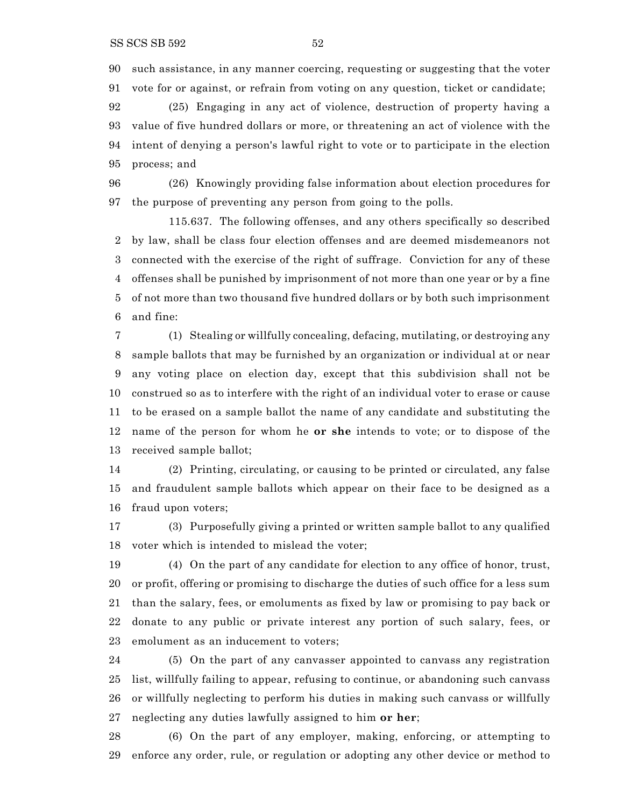such assistance, in any manner coercing, requesting or suggesting that the voter vote for or against, or refrain from voting on any question, ticket or candidate;

 (25) Engaging in any act of violence, destruction of property having a value of five hundred dollars or more, or threatening an act of violence with the intent of denying a person's lawful right to vote or to participate in the election process; and

 (26) Knowingly providing false information about election procedures for the purpose of preventing any person from going to the polls.

115.637. The following offenses, and any others specifically so described by law, shall be class four election offenses and are deemed misdemeanors not connected with the exercise of the right of suffrage. Conviction for any of these offenses shall be punished by imprisonment of not more than one year or by a fine of not more than two thousand five hundred dollars or by both such imprisonment and fine:

 (1) Stealing or willfully concealing, defacing, mutilating, or destroying any sample ballots that may be furnished by an organization or individual at or near any voting place on election day, except that this subdivision shall not be construed so as to interfere with the right of an individual voter to erase or cause to be erased on a sample ballot the name of any candidate and substituting the name of the person for whom he **or she** intends to vote; or to dispose of the received sample ballot;

 (2) Printing, circulating, or causing to be printed or circulated, any false and fraudulent sample ballots which appear on their face to be designed as a fraud upon voters;

 (3) Purposefully giving a printed or written sample ballot to any qualified voter which is intended to mislead the voter;

 (4) On the part of any candidate for election to any office of honor, trust, or profit, offering or promising to discharge the duties of such office for a less sum than the salary, fees, or emoluments as fixed by law or promising to pay back or donate to any public or private interest any portion of such salary, fees, or emolument as an inducement to voters;

 (5) On the part of any canvasser appointed to canvass any registration list, willfully failing to appear, refusing to continue, or abandoning such canvass or willfully neglecting to perform his duties in making such canvass or willfully neglecting any duties lawfully assigned to him **or her**;

 (6) On the part of any employer, making, enforcing, or attempting to enforce any order, rule, or regulation or adopting any other device or method to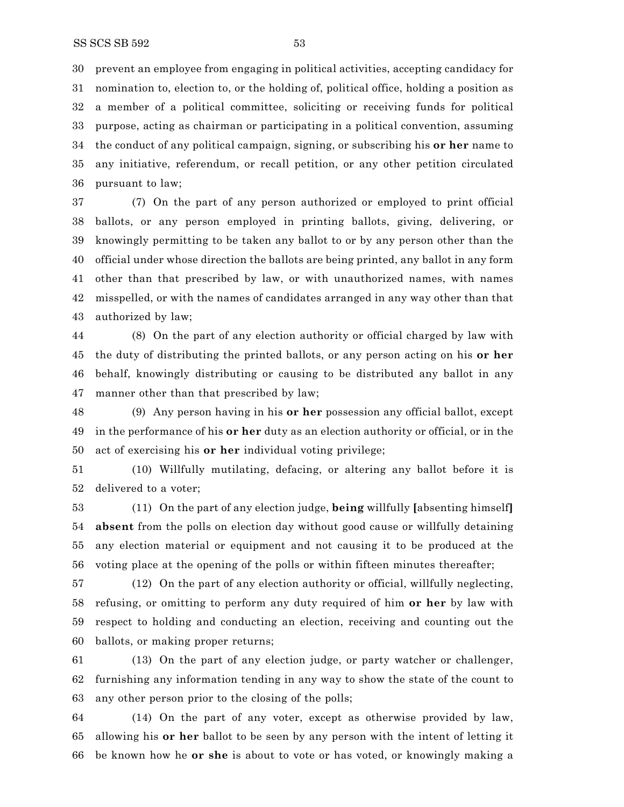prevent an employee from engaging in political activities, accepting candidacy for nomination to, election to, or the holding of, political office, holding a position as a member of a political committee, soliciting or receiving funds for political purpose, acting as chairman or participating in a political convention, assuming the conduct of any political campaign, signing, or subscribing his **or her** name to any initiative, referendum, or recall petition, or any other petition circulated pursuant to law;

 (7) On the part of any person authorized or employed to print official ballots, or any person employed in printing ballots, giving, delivering, or knowingly permitting to be taken any ballot to or by any person other than the official under whose direction the ballots are being printed, any ballot in any form other than that prescribed by law, or with unauthorized names, with names misspelled, or with the names of candidates arranged in any way other than that authorized by law;

 (8) On the part of any election authority or official charged by law with the duty of distributing the printed ballots, or any person acting on his **or her** behalf, knowingly distributing or causing to be distributed any ballot in any manner other than that prescribed by law;

 (9) Any person having in his **or her** possession any official ballot, except in the performance of his **or her** duty as an election authority or official, or in the act of exercising his **or her** individual voting privilege;

 (10) Willfully mutilating, defacing, or altering any ballot before it is delivered to a voter;

 (11) On the part of any election judge, **being** willfully **[**absenting himself**] absent** from the polls on election day without good cause or willfully detaining any election material or equipment and not causing it to be produced at the voting place at the opening of the polls or within fifteen minutes thereafter;

 (12) On the part of any election authority or official, willfully neglecting, refusing, or omitting to perform any duty required of him **or her** by law with respect to holding and conducting an election, receiving and counting out the ballots, or making proper returns;

 (13) On the part of any election judge, or party watcher or challenger, furnishing any information tending in any way to show the state of the count to any other person prior to the closing of the polls;

 (14) On the part of any voter, except as otherwise provided by law, allowing his **or her** ballot to be seen by any person with the intent of letting it be known how he **or she** is about to vote or has voted, or knowingly making a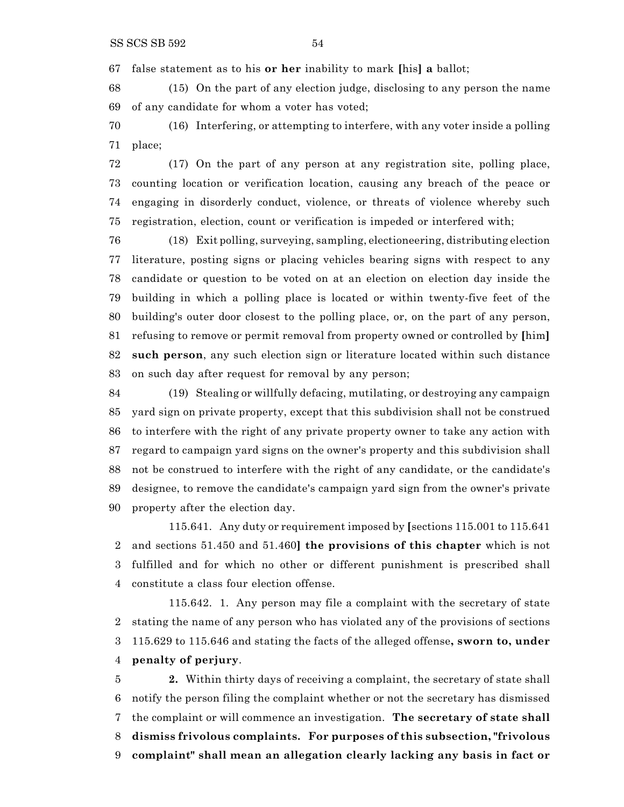false statement as to his **or her** inability to mark **[**his**] a** ballot;

 (15) On the part of any election judge, disclosing to any person the name of any candidate for whom a voter has voted;

 (16) Interfering, or attempting to interfere, with any voter inside a polling place;

 (17) On the part of any person at any registration site, polling place, counting location or verification location, causing any breach of the peace or engaging in disorderly conduct, violence, or threats of violence whereby such registration, election, count or verification is impeded or interfered with;

 (18) Exit polling, surveying, sampling, electioneering, distributing election literature, posting signs or placing vehicles bearing signs with respect to any candidate or question to be voted on at an election on election day inside the building in which a polling place is located or within twenty-five feet of the building's outer door closest to the polling place, or, on the part of any person, refusing to remove or permit removal from property owned or controlled by **[**him**] such person**, any such election sign or literature located within such distance on such day after request for removal by any person;

 (19) Stealing or willfully defacing, mutilating, or destroying any campaign yard sign on private property, except that this subdivision shall not be construed to interfere with the right of any private property owner to take any action with regard to campaign yard signs on the owner's property and this subdivision shall not be construed to interfere with the right of any candidate, or the candidate's designee, to remove the candidate's campaign yard sign from the owner's private property after the election day.

115.641. Any duty or requirement imposed by **[**sections 115.001 to 115.641 and sections 51.450 and 51.460**] the provisions of this chapter** which is not fulfilled and for which no other or different punishment is prescribed shall constitute a class four election offense.

115.642. 1. Any person may file a complaint with the secretary of state stating the name of any person who has violated any of the provisions of sections 115.629 to 115.646 and stating the facts of the alleged offense**, sworn to, under penalty of perjury**.

 **2.** Within thirty days of receiving a complaint, the secretary of state shall notify the person filing the complaint whether or not the secretary has dismissed the complaint or will commence an investigation. **The secretary of state shall dismiss frivolous complaints. For purposes of this subsection, "frivolous complaint" shall mean an allegation clearly lacking any basis in fact or**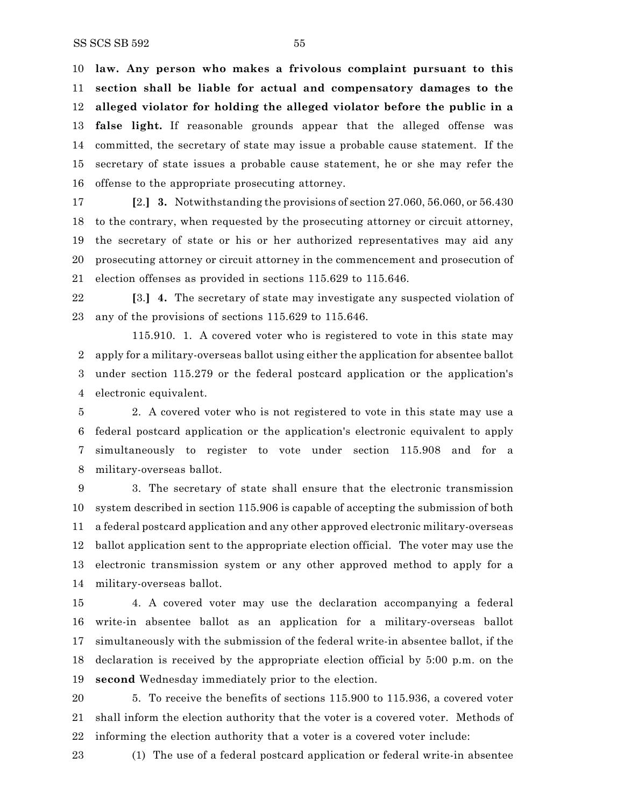**law. Any person who makes a frivolous complaint pursuant to this section shall be liable for actual and compensatory damages to the alleged violator for holding the alleged violator before the public in a false light.** If reasonable grounds appear that the alleged offense was committed, the secretary of state may issue a probable cause statement. If the secretary of state issues a probable cause statement, he or she may refer the offense to the appropriate prosecuting attorney.

 **[**2.**] 3.** Notwithstanding the provisions of section 27.060, 56.060, or 56.430 to the contrary, when requested by the prosecuting attorney or circuit attorney, the secretary of state or his or her authorized representatives may aid any prosecuting attorney or circuit attorney in the commencement and prosecution of election offenses as provided in sections 115.629 to 115.646.

 **[**3.**] 4.** The secretary of state may investigate any suspected violation of any of the provisions of sections 115.629 to 115.646.

115.910. 1. A covered voter who is registered to vote in this state may apply for a military-overseas ballot using either the application for absentee ballot under section 115.279 or the federal postcard application or the application's electronic equivalent.

 2. A covered voter who is not registered to vote in this state may use a federal postcard application or the application's electronic equivalent to apply simultaneously to register to vote under section 115.908 and for a military-overseas ballot.

 3. The secretary of state shall ensure that the electronic transmission system described in section 115.906 is capable of accepting the submission of both a federal postcard application and any other approved electronic military-overseas ballot application sent to the appropriate election official. The voter may use the electronic transmission system or any other approved method to apply for a military-overseas ballot.

 4. A covered voter may use the declaration accompanying a federal write-in absentee ballot as an application for a military-overseas ballot simultaneously with the submission of the federal write-in absentee ballot, if the declaration is received by the appropriate election official by 5:00 p.m. on the **second** Wednesday immediately prior to the election.

 5. To receive the benefits of sections 115.900 to 115.936, a covered voter shall inform the election authority that the voter is a covered voter. Methods of informing the election authority that a voter is a covered voter include:

(1) The use of a federal postcard application or federal write-in absentee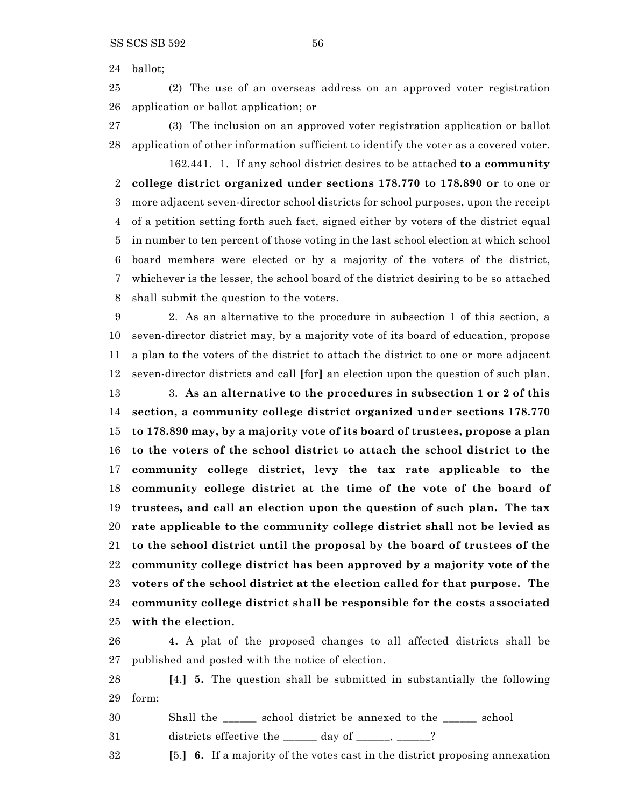ballot;

 (2) The use of an overseas address on an approved voter registration application or ballot application; or

 (3) The inclusion on an approved voter registration application or ballot application of other information sufficient to identify the voter as a covered voter.

162.441. 1. If any school district desires to be attached **to a community college district organized under sections 178.770 to 178.890 or** to one or more adjacent seven-director school districts for school purposes, upon the receipt of a petition setting forth such fact, signed either by voters of the district equal in number to ten percent of those voting in the last school election at which school board members were elected or by a majority of the voters of the district, whichever is the lesser, the school board of the district desiring to be so attached shall submit the question to the voters.

 2. As an alternative to the procedure in subsection 1 of this section, a seven-director district may, by a majority vote of its board of education, propose a plan to the voters of the district to attach the district to one or more adjacent seven-director districts and call **[**for**]** an election upon the question of such plan.

 3. **As an alternative to the procedures in subsection 1 or 2 of this section, a community college district organized under sections 178.770 to 178.890 may, by a majority vote of its board of trustees, propose a plan to the voters of the school district to attach the school district to the community college district, levy the tax rate applicable to the community college district at the time of the vote of the board of trustees, and call an election upon the question of such plan. The tax rate applicable to the community college district shall not be levied as to the school district until the proposal by the board of trustees of the community college district has been approved by a majority vote of the voters of the school district at the election called for that purpose. The community college district shall be responsible for the costs associated with the election.**

 **4.** A plat of the proposed changes to all affected districts shall be published and posted with the notice of election.

 **[**4.**] 5.** The question shall be submitted in substantially the following form:

Shall the \_\_\_\_\_\_ school district be annexed to the \_\_\_\_\_\_ school

31 districts effective the day of \_\_\_\_\_, \_\_\_\_?

**[**5.**] 6.** If a majority of the votes cast in the district proposing annexation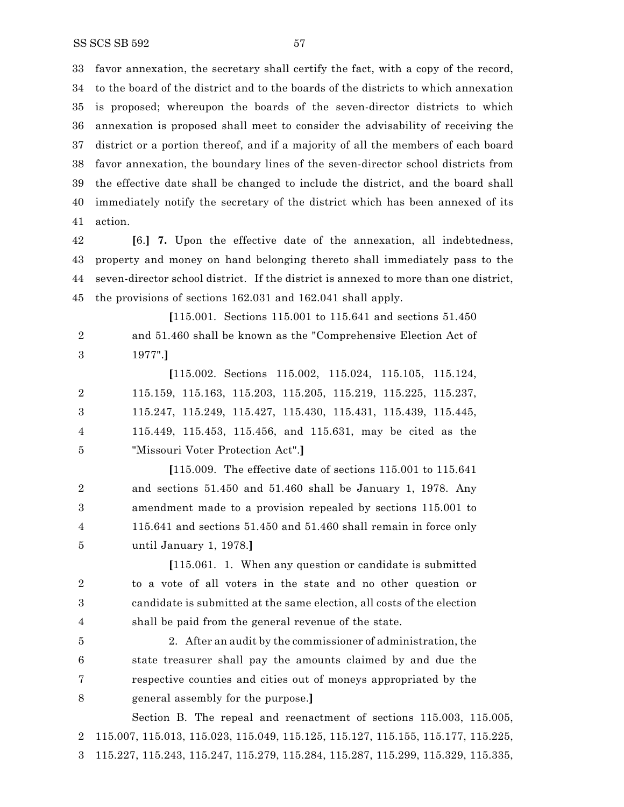favor annexation, the secretary shall certify the fact, with a copy of the record, to the board of the district and to the boards of the districts to which annexation is proposed; whereupon the boards of the seven-director districts to which annexation is proposed shall meet to consider the advisability of receiving the district or a portion thereof, and if a majority of all the members of each board favor annexation, the boundary lines of the seven-director school districts from the effective date shall be changed to include the district, and the board shall immediately notify the secretary of the district which has been annexed of its action.

 **[**6.**] 7.** Upon the effective date of the annexation, all indebtedness, property and money on hand belonging thereto shall immediately pass to the seven-director school district. If the district is annexed to more than one district, the provisions of sections 162.031 and 162.041 shall apply.

**[**115.001. Sections 115.001 to 115.641 and sections 51.450 and 51.460 shall be known as the "Comprehensive Election Act of 1977".**]**

**[**115.002. Sections 115.002, 115.024, 115.105, 115.124, 115.159, 115.163, 115.203, 115.205, 115.219, 115.225, 115.237, 115.247, 115.249, 115.427, 115.430, 115.431, 115.439, 115.445, 115.449, 115.453, 115.456, and 115.631, may be cited as the "Missouri Voter Protection Act".**]**

**[**115.009. The effective date of sections 115.001 to 115.641 and sections 51.450 and 51.460 shall be January 1, 1978. Any amendment made to a provision repealed by sections 115.001 to 115.641 and sections 51.450 and 51.460 shall remain in force only until January 1, 1978.**]**

**[**115.061. 1. When any question or candidate is submitted to a vote of all voters in the state and no other question or candidate is submitted at the same election, all costs of the election shall be paid from the general revenue of the state.

 2. After an audit by the commissioner of administration, the state treasurer shall pay the amounts claimed by and due the respective counties and cities out of moneys appropriated by the general assembly for the purpose.**]**

Section B. The repeal and reenactment of sections 115.003, 115.005, 115.007, 115.013, 115.023, 115.049, 115.125, 115.127, 115.155, 115.177, 115.225, 115.227, 115.243, 115.247, 115.279, 115.284, 115.287, 115.299, 115.329, 115.335,